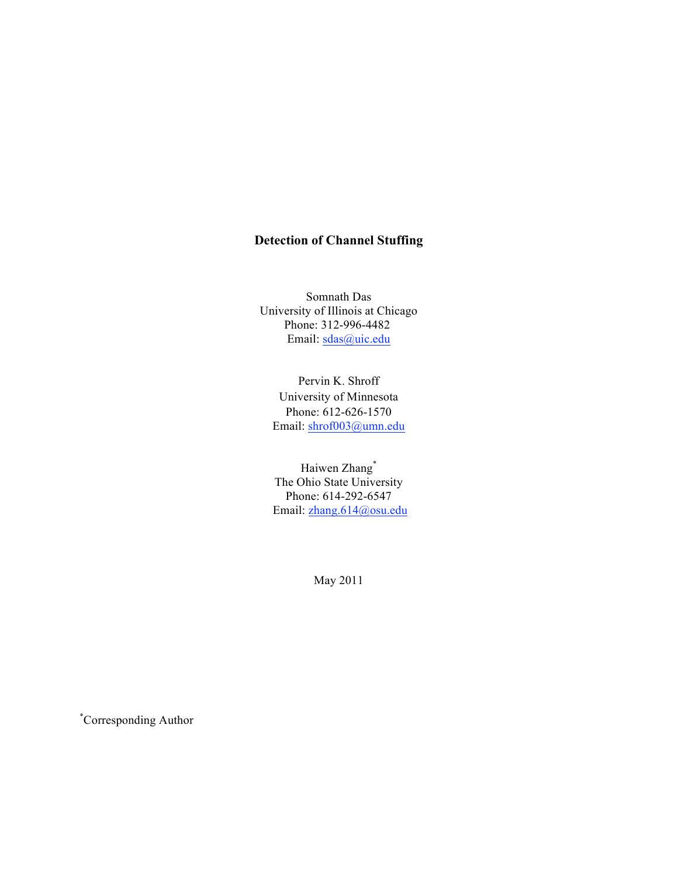## **Detection of Channel Stuffing**

Somnath Das University of Illinois at Chicago Phone: 312-996-4482 Email: sdas@uic.edu

Pervin K. Shroff University of Minnesota Phone: 612-626-1570 Email: shrof003@umn.edu

Haiwen Zhang\* The Ohio State University Phone: 614-292-6547 Email: zhang.614@osu.edu

May 2011

\* Corresponding Author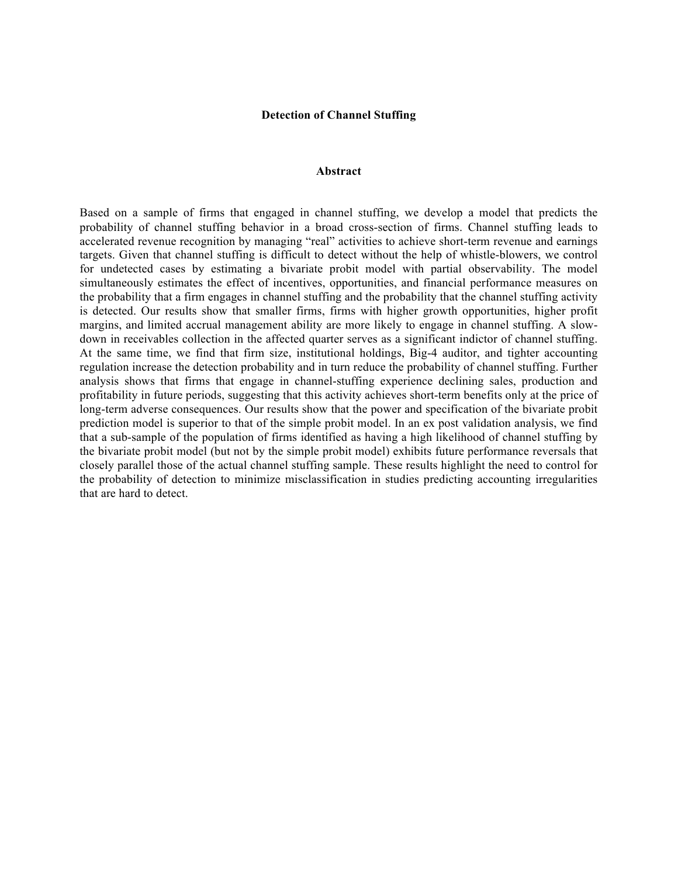#### **Detection of Channel Stuffing**

#### **Abstract**

Based on a sample of firms that engaged in channel stuffing, we develop a model that predicts the probability of channel stuffing behavior in a broad cross-section of firms. Channel stuffing leads to accelerated revenue recognition by managing "real" activities to achieve short-term revenue and earnings targets. Given that channel stuffing is difficult to detect without the help of whistle-blowers, we control for undetected cases by estimating a bivariate probit model with partial observability. The model simultaneously estimates the effect of incentives, opportunities, and financial performance measures on the probability that a firm engages in channel stuffing and the probability that the channel stuffing activity is detected. Our results show that smaller firms, firms with higher growth opportunities, higher profit margins, and limited accrual management ability are more likely to engage in channel stuffing. A slowdown in receivables collection in the affected quarter serves as a significant indictor of channel stuffing. At the same time, we find that firm size, institutional holdings, Big-4 auditor, and tighter accounting regulation increase the detection probability and in turn reduce the probability of channel stuffing. Further analysis shows that firms that engage in channel-stuffing experience declining sales, production and profitability in future periods, suggesting that this activity achieves short-term benefits only at the price of long-term adverse consequences. Our results show that the power and specification of the bivariate probit prediction model is superior to that of the simple probit model. In an ex post validation analysis, we find that a sub-sample of the population of firms identified as having a high likelihood of channel stuffing by the bivariate probit model (but not by the simple probit model) exhibits future performance reversals that closely parallel those of the actual channel stuffing sample. These results highlight the need to control for the probability of detection to minimize misclassification in studies predicting accounting irregularities that are hard to detect.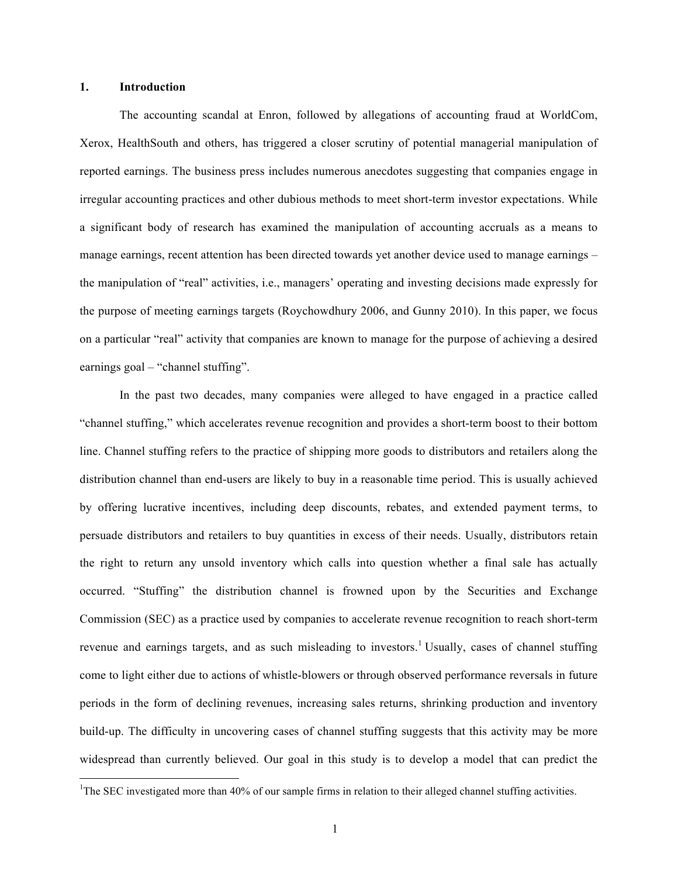## **1. Introduction**

The accounting scandal at Enron, followed by allegations of accounting fraud at WorldCom, Xerox, HealthSouth and others, has triggered a closer scrutiny of potential managerial manipulation of reported earnings. The business press includes numerous anecdotes suggesting that companies engage in irregular accounting practices and other dubious methods to meet short-term investor expectations. While a significant body of research has examined the manipulation of accounting accruals as a means to manage earnings, recent attention has been directed towards yet another device used to manage earnings – the manipulation of "real" activities, i.e., managers' operating and investing decisions made expressly for the purpose of meeting earnings targets (Roychowdhury 2006, and Gunny 2010). In this paper, we focus on a particular "real" activity that companies are known to manage for the purpose of achieving a desired earnings goal – "channel stuffing".

In the past two decades, many companies were alleged to have engaged in a practice called "channel stuffing," which accelerates revenue recognition and provides a short-term boost to their bottom line. Channel stuffing refers to the practice of shipping more goods to distributors and retailers along the distribution channel than end-users are likely to buy in a reasonable time period. This is usually achieved by offering lucrative incentives, including deep discounts, rebates, and extended payment terms, to persuade distributors and retailers to buy quantities in excess of their needs. Usually, distributors retain the right to return any unsold inventory which calls into question whether a final sale has actually occurred. "Stuffing" the distribution channel is frowned upon by the Securities and Exchange Commission (SEC) as a practice used by companies to accelerate revenue recognition to reach short-term revenue and earnings targets, and as such misleading to investors.<sup>1</sup> Usually, cases of channel stuffing come to light either due to actions of whistle-blowers or through observed performance reversals in future periods in the form of declining revenues, increasing sales returns, shrinking production and inventory build-up. The difficulty in uncovering cases of channel stuffing suggests that this activity may be more widespread than currently believed. Our goal in this study is to develop a model that can predict the

<sup>&</sup>lt;sup>1</sup>The SEC investigated more than 40% of our sample firms in relation to their alleged channel stuffing activities.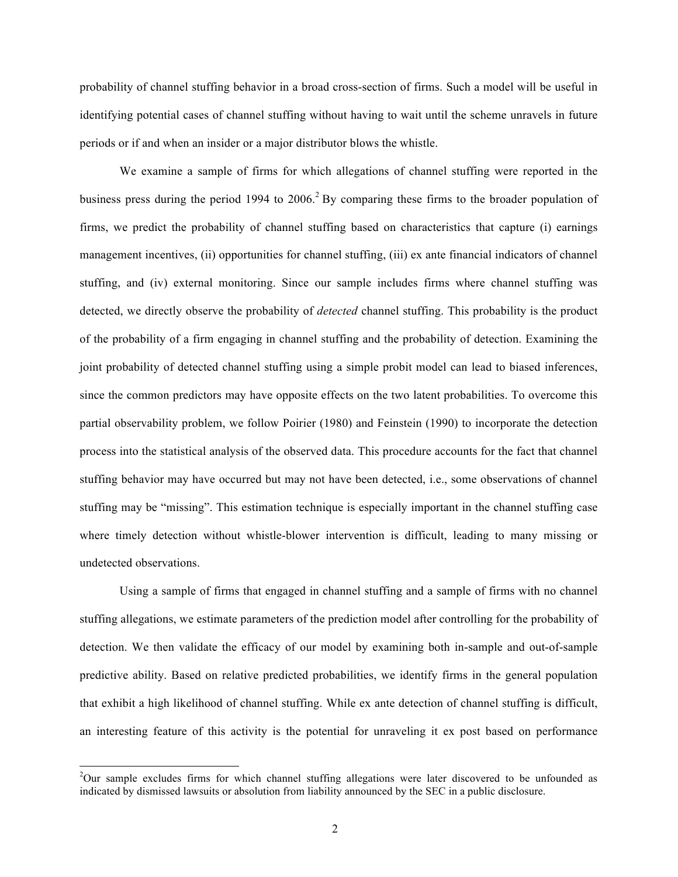probability of channel stuffing behavior in a broad cross-section of firms. Such a model will be useful in identifying potential cases of channel stuffing without having to wait until the scheme unravels in future periods or if and when an insider or a major distributor blows the whistle.

We examine a sample of firms for which allegations of channel stuffing were reported in the business press during the period 1994 to  $2006<sup>2</sup>$  By comparing these firms to the broader population of firms, we predict the probability of channel stuffing based on characteristics that capture (i) earnings management incentives, (ii) opportunities for channel stuffing, (iii) ex ante financial indicators of channel stuffing, and (iv) external monitoring. Since our sample includes firms where channel stuffing was detected, we directly observe the probability of *detected* channel stuffing. This probability is the product of the probability of a firm engaging in channel stuffing and the probability of detection. Examining the joint probability of detected channel stuffing using a simple probit model can lead to biased inferences, since the common predictors may have opposite effects on the two latent probabilities. To overcome this partial observability problem, we follow Poirier (1980) and Feinstein (1990) to incorporate the detection process into the statistical analysis of the observed data. This procedure accounts for the fact that channel stuffing behavior may have occurred but may not have been detected, i.e., some observations of channel stuffing may be "missing". This estimation technique is especially important in the channel stuffing case where timely detection without whistle-blower intervention is difficult, leading to many missing or undetected observations.

Using a sample of firms that engaged in channel stuffing and a sample of firms with no channel stuffing allegations, we estimate parameters of the prediction model after controlling for the probability of detection. We then validate the efficacy of our model by examining both in-sample and out-of-sample predictive ability. Based on relative predicted probabilities, we identify firms in the general population that exhibit a high likelihood of channel stuffing. While ex ante detection of channel stuffing is difficult, an interesting feature of this activity is the potential for unraveling it ex post based on performance

<sup>&</sup>lt;sup>2</sup>Our sample excludes firms for which channel stuffing allegations were later discovered to be unfounded as indicated by dismissed lawsuits or absolution from liability announced by the SEC in a public disclosure.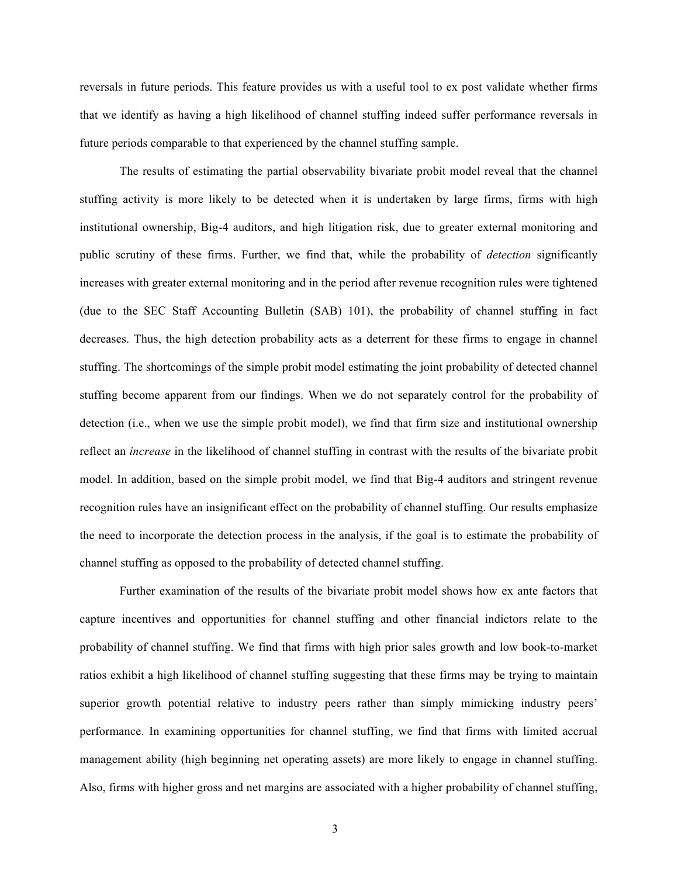reversals in future periods. This feature provides us with a useful tool to ex post validate whether firms that we identify as having a high likelihood of channel stuffing indeed suffer performance reversals in future periods comparable to that experienced by the channel stuffing sample.

The results of estimating the partial observability bivariate probit model reveal that the channel stuffing activity is more likely to be detected when it is undertaken by large firms, firms with high institutional ownership, Big-4 auditors, and high litigation risk, due to greater external monitoring and public scrutiny of these firms. Further, we find that, while the probability of *detection* significantly increases with greater external monitoring and in the period after revenue recognition rules were tightened (due to the SEC Staff Accounting Bulletin (SAB) 101), the probability of channel stuffing in fact decreases. Thus, the high detection probability acts as a deterrent for these firms to engage in channel stuffing. The shortcomings of the simple probit model estimating the joint probability of detected channel stuffing become apparent from our findings. When we do not separately control for the probability of detection (i.e., when we use the simple probit model), we find that firm size and institutional ownership reflect an *increase* in the likelihood of channel stuffing in contrast with the results of the bivariate probit model. In addition, based on the simple probit model, we find that Big-4 auditors and stringent revenue recognition rules have an insignificant effect on the probability of channel stuffing. Our results emphasize the need to incorporate the detection process in the analysis, if the goal is to estimate the probability of channel stuffing as opposed to the probability of detected channel stuffing.

Further examination of the results of the bivariate probit model shows how ex ante factors that capture incentives and opportunities for channel stuffing and other financial indictors relate to the probability of channel stuffing. We find that firms with high prior sales growth and low book-to-market ratios exhibit a high likelihood of channel stuffing suggesting that these firms may be trying to maintain superior growth potential relative to industry peers rather than simply mimicking industry peers' performance. In examining opportunities for channel stuffing, we find that firms with limited accrual management ability (high beginning net operating assets) are more likely to engage in channel stuffing. Also, firms with higher gross and net margins are associated with a higher probability of channel stuffing,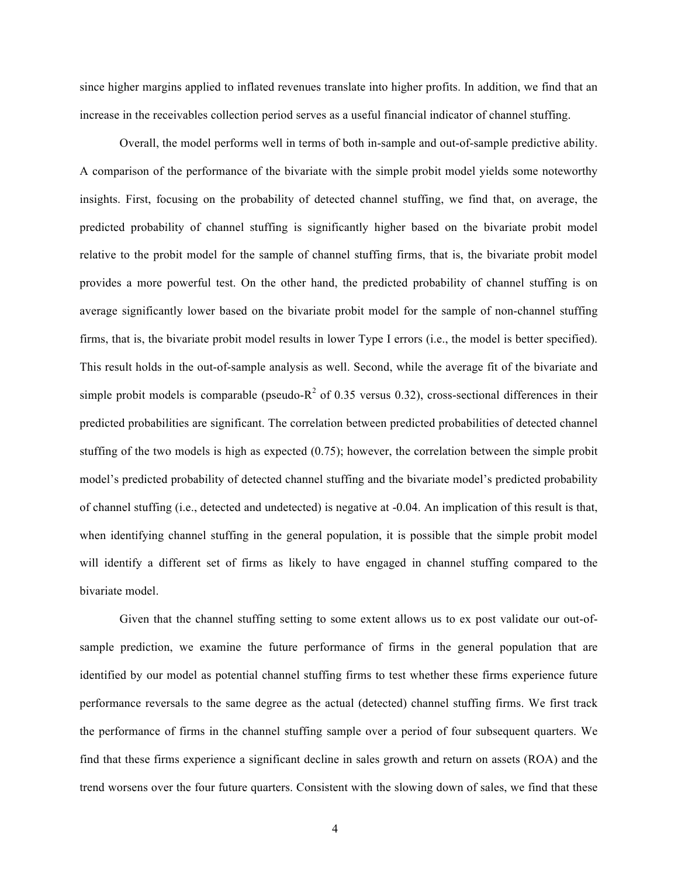since higher margins applied to inflated revenues translate into higher profits. In addition, we find that an increase in the receivables collection period serves as a useful financial indicator of channel stuffing.

Overall, the model performs well in terms of both in-sample and out-of-sample predictive ability. A comparison of the performance of the bivariate with the simple probit model yields some noteworthy insights. First, focusing on the probability of detected channel stuffing, we find that, on average, the predicted probability of channel stuffing is significantly higher based on the bivariate probit model relative to the probit model for the sample of channel stuffing firms, that is, the bivariate probit model provides a more powerful test. On the other hand, the predicted probability of channel stuffing is on average significantly lower based on the bivariate probit model for the sample of non-channel stuffing firms, that is, the bivariate probit model results in lower Type I errors (i.e., the model is better specified). This result holds in the out-of-sample analysis as well. Second, while the average fit of the bivariate and simple probit models is comparable (pseudo- $R^2$  of 0.35 versus 0.32), cross-sectional differences in their predicted probabilities are significant. The correlation between predicted probabilities of detected channel stuffing of the two models is high as expected (0.75); however, the correlation between the simple probit model's predicted probability of detected channel stuffing and the bivariate model's predicted probability of channel stuffing (i.e., detected and undetected) is negative at -0.04. An implication of this result is that, when identifying channel stuffing in the general population, it is possible that the simple probit model will identify a different set of firms as likely to have engaged in channel stuffing compared to the bivariate model.

Given that the channel stuffing setting to some extent allows us to ex post validate our out-ofsample prediction, we examine the future performance of firms in the general population that are identified by our model as potential channel stuffing firms to test whether these firms experience future performance reversals to the same degree as the actual (detected) channel stuffing firms. We first track the performance of firms in the channel stuffing sample over a period of four subsequent quarters. We find that these firms experience a significant decline in sales growth and return on assets (ROA) and the trend worsens over the four future quarters. Consistent with the slowing down of sales, we find that these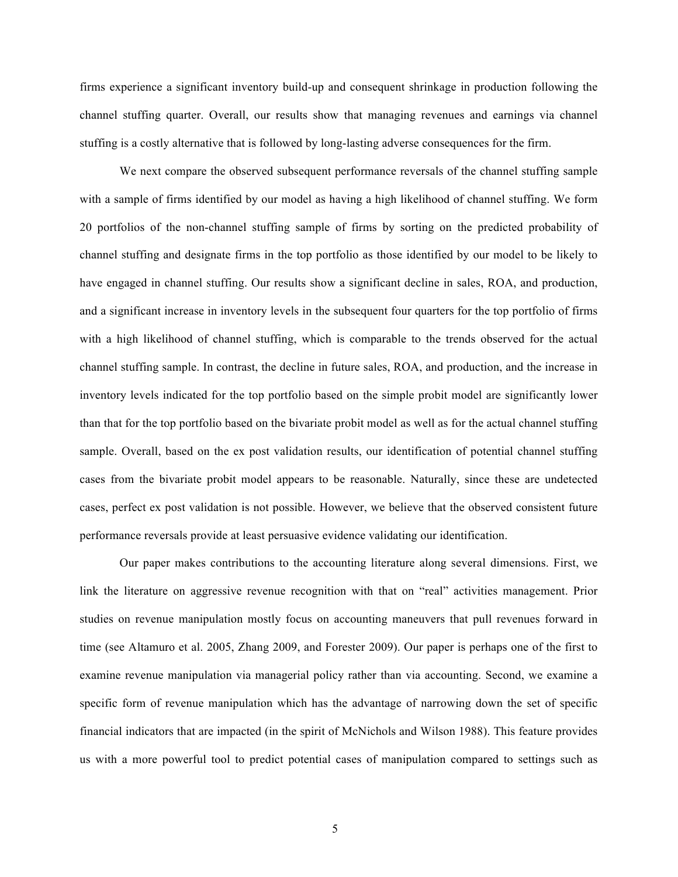firms experience a significant inventory build-up and consequent shrinkage in production following the channel stuffing quarter. Overall, our results show that managing revenues and earnings via channel stuffing is a costly alternative that is followed by long-lasting adverse consequences for the firm.

We next compare the observed subsequent performance reversals of the channel stuffing sample with a sample of firms identified by our model as having a high likelihood of channel stuffing. We form 20 portfolios of the non-channel stuffing sample of firms by sorting on the predicted probability of channel stuffing and designate firms in the top portfolio as those identified by our model to be likely to have engaged in channel stuffing. Our results show a significant decline in sales, ROA, and production, and a significant increase in inventory levels in the subsequent four quarters for the top portfolio of firms with a high likelihood of channel stuffing, which is comparable to the trends observed for the actual channel stuffing sample. In contrast, the decline in future sales, ROA, and production, and the increase in inventory levels indicated for the top portfolio based on the simple probit model are significantly lower than that for the top portfolio based on the bivariate probit model as well as for the actual channel stuffing sample. Overall, based on the ex post validation results, our identification of potential channel stuffing cases from the bivariate probit model appears to be reasonable. Naturally, since these are undetected cases, perfect ex post validation is not possible. However, we believe that the observed consistent future performance reversals provide at least persuasive evidence validating our identification.

Our paper makes contributions to the accounting literature along several dimensions. First, we link the literature on aggressive revenue recognition with that on "real" activities management. Prior studies on revenue manipulation mostly focus on accounting maneuvers that pull revenues forward in time (see Altamuro et al. 2005, Zhang 2009, and Forester 2009). Our paper is perhaps one of the first to examine revenue manipulation via managerial policy rather than via accounting. Second, we examine a specific form of revenue manipulation which has the advantage of narrowing down the set of specific financial indicators that are impacted (in the spirit of McNichols and Wilson 1988). This feature provides us with a more powerful tool to predict potential cases of manipulation compared to settings such as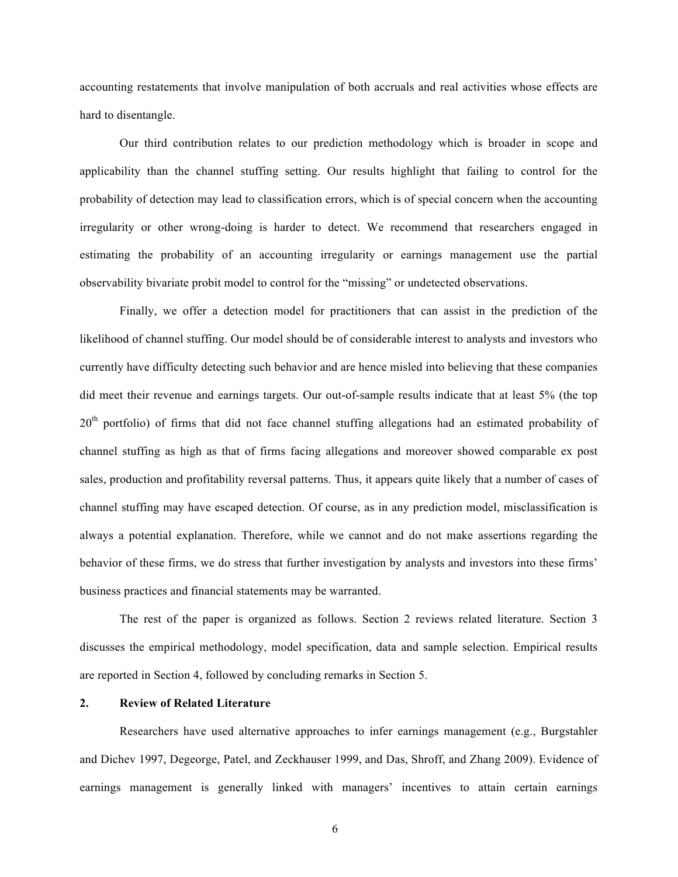accounting restatements that involve manipulation of both accruals and real activities whose effects are hard to disentangle.

Our third contribution relates to our prediction methodology which is broader in scope and applicability than the channel stuffing setting. Our results highlight that failing to control for the probability of detection may lead to classification errors, which is of special concern when the accounting irregularity or other wrong-doing is harder to detect. We recommend that researchers engaged in estimating the probability of an accounting irregularity or earnings management use the partial observability bivariate probit model to control for the "missing" or undetected observations.

Finally, we offer a detection model for practitioners that can assist in the prediction of the likelihood of channel stuffing. Our model should be of considerable interest to analysts and investors who currently have difficulty detecting such behavior and are hence misled into believing that these companies did meet their revenue and earnings targets. Our out-of-sample results indicate that at least 5% (the top  $20<sup>th</sup>$  portfolio) of firms that did not face channel stuffing allegations had an estimated probability of channel stuffing as high as that of firms facing allegations and moreover showed comparable ex post sales, production and profitability reversal patterns. Thus, it appears quite likely that a number of cases of channel stuffing may have escaped detection. Of course, as in any prediction model, misclassification is always a potential explanation. Therefore, while we cannot and do not make assertions regarding the behavior of these firms, we do stress that further investigation by analysts and investors into these firms' business practices and financial statements may be warranted.

The rest of the paper is organized as follows. Section 2 reviews related literature. Section 3 discusses the empirical methodology, model specification, data and sample selection. Empirical results are reported in Section 4, followed by concluding remarks in Section 5.

## **2. Review of Related Literature**

Researchers have used alternative approaches to infer earnings management (e.g., Burgstahler and Dichev 1997, Degeorge, Patel, and Zeckhauser 1999, and Das, Shroff, and Zhang 2009). Evidence of earnings management is generally linked with managers' incentives to attain certain earnings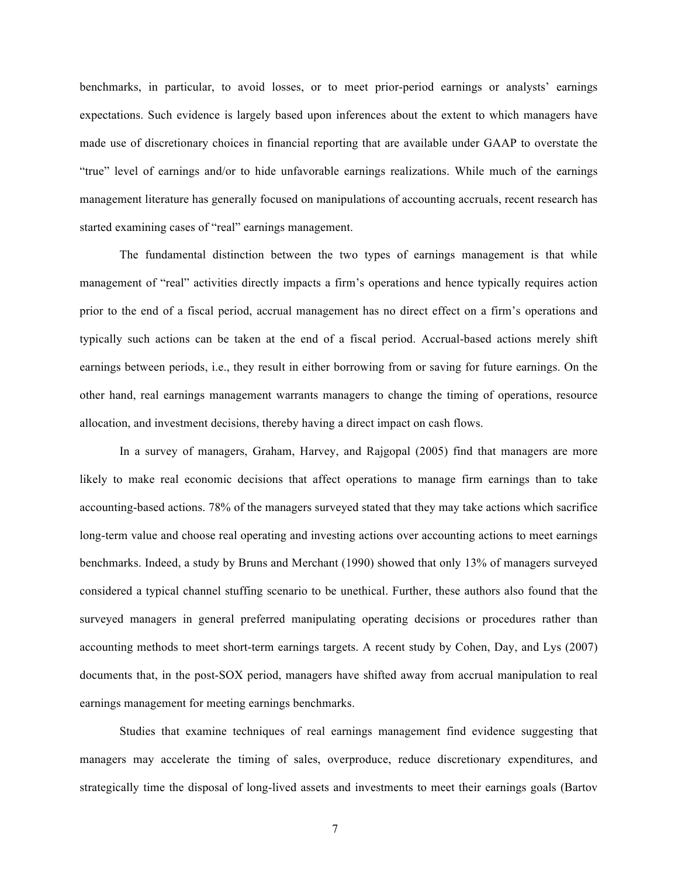benchmarks, in particular, to avoid losses, or to meet prior-period earnings or analysts' earnings expectations. Such evidence is largely based upon inferences about the extent to which managers have made use of discretionary choices in financial reporting that are available under GAAP to overstate the "true" level of earnings and/or to hide unfavorable earnings realizations. While much of the earnings management literature has generally focused on manipulations of accounting accruals, recent research has started examining cases of "real" earnings management.

The fundamental distinction between the two types of earnings management is that while management of "real" activities directly impacts a firm's operations and hence typically requires action prior to the end of a fiscal period, accrual management has no direct effect on a firm's operations and typically such actions can be taken at the end of a fiscal period. Accrual-based actions merely shift earnings between periods, i.e., they result in either borrowing from or saving for future earnings. On the other hand, real earnings management warrants managers to change the timing of operations, resource allocation, and investment decisions, thereby having a direct impact on cash flows.

In a survey of managers, Graham, Harvey, and Rajgopal (2005) find that managers are more likely to make real economic decisions that affect operations to manage firm earnings than to take accounting-based actions. 78% of the managers surveyed stated that they may take actions which sacrifice long-term value and choose real operating and investing actions over accounting actions to meet earnings benchmarks. Indeed, a study by Bruns and Merchant (1990) showed that only 13% of managers surveyed considered a typical channel stuffing scenario to be unethical. Further, these authors also found that the surveyed managers in general preferred manipulating operating decisions or procedures rather than accounting methods to meet short-term earnings targets. A recent study by Cohen, Day, and Lys (2007) documents that, in the post-SOX period, managers have shifted away from accrual manipulation to real earnings management for meeting earnings benchmarks.

Studies that examine techniques of real earnings management find evidence suggesting that managers may accelerate the timing of sales, overproduce, reduce discretionary expenditures, and strategically time the disposal of long-lived assets and investments to meet their earnings goals (Bartov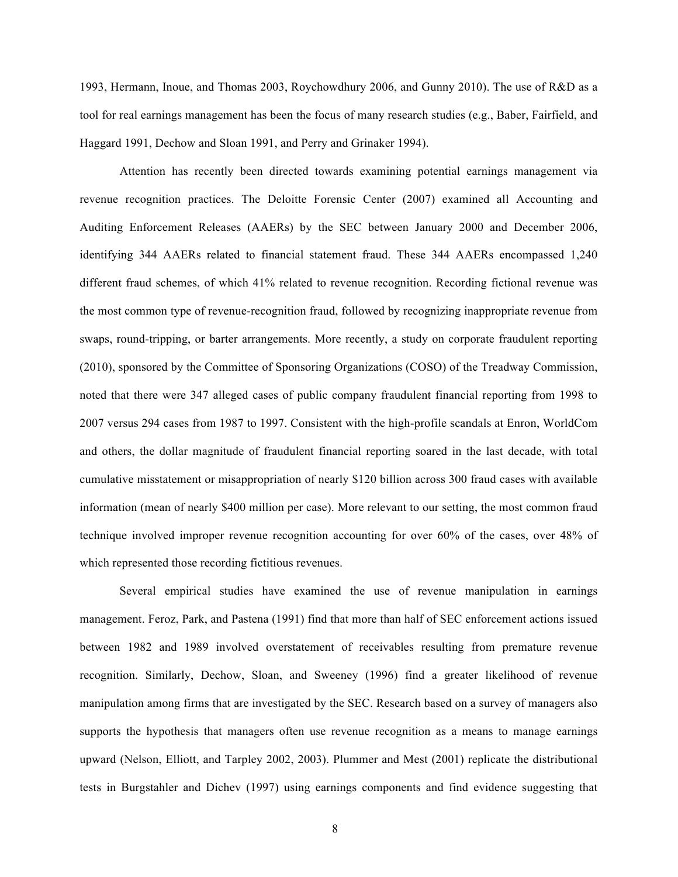1993, Hermann, Inoue, and Thomas 2003, Roychowdhury 2006, and Gunny 2010). The use of R&D as a tool for real earnings management has been the focus of many research studies (e.g., Baber, Fairfield, and Haggard 1991, Dechow and Sloan 1991, and Perry and Grinaker 1994).

Attention has recently been directed towards examining potential earnings management via revenue recognition practices. The Deloitte Forensic Center (2007) examined all Accounting and Auditing Enforcement Releases (AAERs) by the SEC between January 2000 and December 2006, identifying 344 AAERs related to financial statement fraud. These 344 AAERs encompassed 1,240 different fraud schemes, of which 41% related to revenue recognition. Recording fictional revenue was the most common type of revenue-recognition fraud, followed by recognizing inappropriate revenue from swaps, round-tripping, or barter arrangements. More recently, a study on corporate fraudulent reporting (2010), sponsored by the Committee of Sponsoring Organizations (COSO) of the Treadway Commission, noted that there were 347 alleged cases of public company fraudulent financial reporting from 1998 to 2007 versus 294 cases from 1987 to 1997. Consistent with the high-profile scandals at Enron, WorldCom and others, the dollar magnitude of fraudulent financial reporting soared in the last decade, with total cumulative misstatement or misappropriation of nearly \$120 billion across 300 fraud cases with available information (mean of nearly \$400 million per case). More relevant to our setting, the most common fraud technique involved improper revenue recognition accounting for over 60% of the cases, over 48% of which represented those recording fictitious revenues.

Several empirical studies have examined the use of revenue manipulation in earnings management. Feroz, Park, and Pastena (1991) find that more than half of SEC enforcement actions issued between 1982 and 1989 involved overstatement of receivables resulting from premature revenue recognition. Similarly, Dechow, Sloan, and Sweeney (1996) find a greater likelihood of revenue manipulation among firms that are investigated by the SEC. Research based on a survey of managers also supports the hypothesis that managers often use revenue recognition as a means to manage earnings upward (Nelson, Elliott, and Tarpley 2002, 2003). Plummer and Mest (2001) replicate the distributional tests in Burgstahler and Dichev (1997) using earnings components and find evidence suggesting that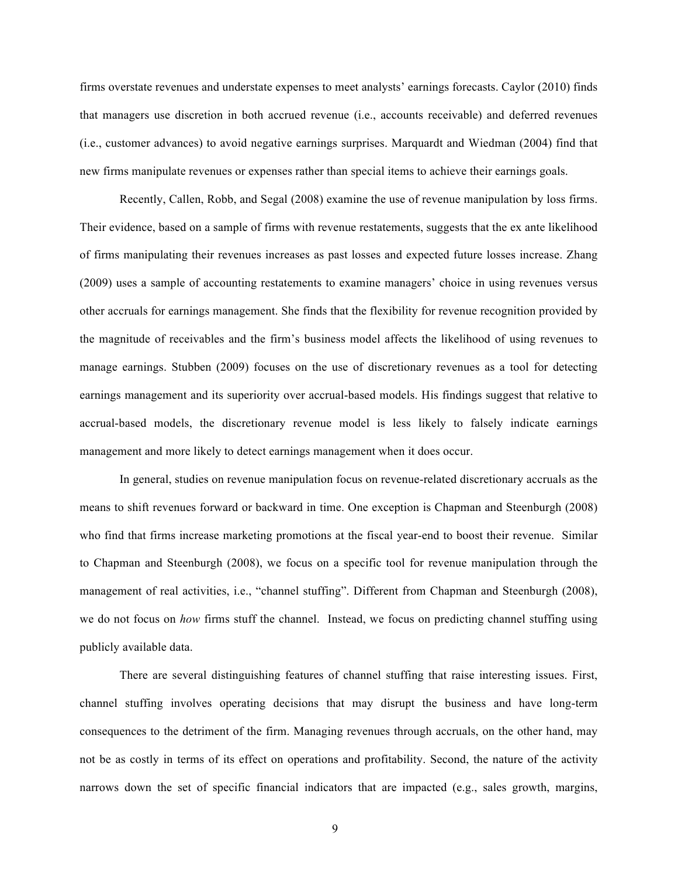firms overstate revenues and understate expenses to meet analysts' earnings forecasts. Caylor (2010) finds that managers use discretion in both accrued revenue (i.e., accounts receivable) and deferred revenues (i.e., customer advances) to avoid negative earnings surprises. Marquardt and Wiedman (2004) find that new firms manipulate revenues or expenses rather than special items to achieve their earnings goals.

Recently, Callen, Robb, and Segal (2008) examine the use of revenue manipulation by loss firms. Their evidence, based on a sample of firms with revenue restatements, suggests that the ex ante likelihood of firms manipulating their revenues increases as past losses and expected future losses increase. Zhang (2009) uses a sample of accounting restatements to examine managers' choice in using revenues versus other accruals for earnings management. She finds that the flexibility for revenue recognition provided by the magnitude of receivables and the firm's business model affects the likelihood of using revenues to manage earnings. Stubben (2009) focuses on the use of discretionary revenues as a tool for detecting earnings management and its superiority over accrual-based models. His findings suggest that relative to accrual-based models, the discretionary revenue model is less likely to falsely indicate earnings management and more likely to detect earnings management when it does occur.

In general, studies on revenue manipulation focus on revenue-related discretionary accruals as the means to shift revenues forward or backward in time. One exception is Chapman and Steenburgh (2008) who find that firms increase marketing promotions at the fiscal year-end to boost their revenue. Similar to Chapman and Steenburgh (2008), we focus on a specific tool for revenue manipulation through the management of real activities, i.e., "channel stuffing". Different from Chapman and Steenburgh (2008), we do not focus on *how* firms stuff the channel. Instead, we focus on predicting channel stuffing using publicly available data.

There are several distinguishing features of channel stuffing that raise interesting issues. First, channel stuffing involves operating decisions that may disrupt the business and have long-term consequences to the detriment of the firm. Managing revenues through accruals, on the other hand, may not be as costly in terms of its effect on operations and profitability. Second, the nature of the activity narrows down the set of specific financial indicators that are impacted (e.g., sales growth, margins,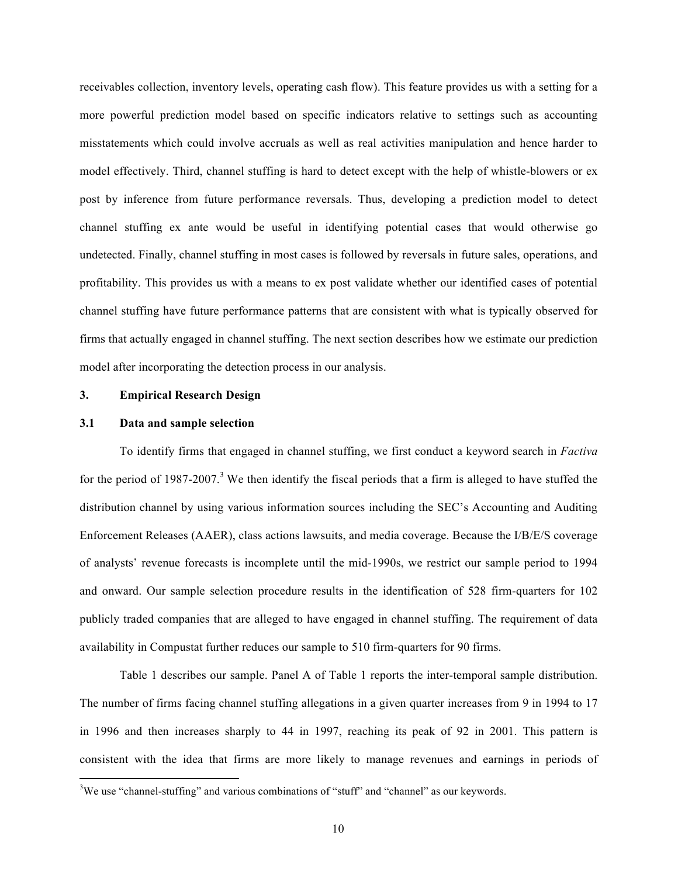receivables collection, inventory levels, operating cash flow). This feature provides us with a setting for a more powerful prediction model based on specific indicators relative to settings such as accounting misstatements which could involve accruals as well as real activities manipulation and hence harder to model effectively. Third, channel stuffing is hard to detect except with the help of whistle-blowers or ex post by inference from future performance reversals. Thus, developing a prediction model to detect channel stuffing ex ante would be useful in identifying potential cases that would otherwise go undetected. Finally, channel stuffing in most cases is followed by reversals in future sales, operations, and profitability. This provides us with a means to ex post validate whether our identified cases of potential channel stuffing have future performance patterns that are consistent with what is typically observed for firms that actually engaged in channel stuffing. The next section describes how we estimate our prediction model after incorporating the detection process in our analysis.

#### **3. Empirical Research Design**

#### **3.1 Data and sample selection**

To identify firms that engaged in channel stuffing, we first conduct a keyword search in *Factiva* for the period of 1987-2007.<sup>3</sup> We then identify the fiscal periods that a firm is alleged to have stuffed the distribution channel by using various information sources including the SEC's Accounting and Auditing Enforcement Releases (AAER), class actions lawsuits, and media coverage. Because the I/B/E/S coverage of analysts' revenue forecasts is incomplete until the mid-1990s, we restrict our sample period to 1994 and onward. Our sample selection procedure results in the identification of 528 firm-quarters for 102 publicly traded companies that are alleged to have engaged in channel stuffing. The requirement of data availability in Compustat further reduces our sample to 510 firm-quarters for 90 firms.

Table 1 describes our sample. Panel A of Table 1 reports the inter-temporal sample distribution. The number of firms facing channel stuffing allegations in a given quarter increases from 9 in 1994 to 17 in 1996 and then increases sharply to 44 in 1997, reaching its peak of 92 in 2001. This pattern is consistent with the idea that firms are more likely to manage revenues and earnings in periods of

<sup>&</sup>lt;sup>3</sup>We use "channel-stuffing" and various combinations of "stuff" and "channel" as our keywords.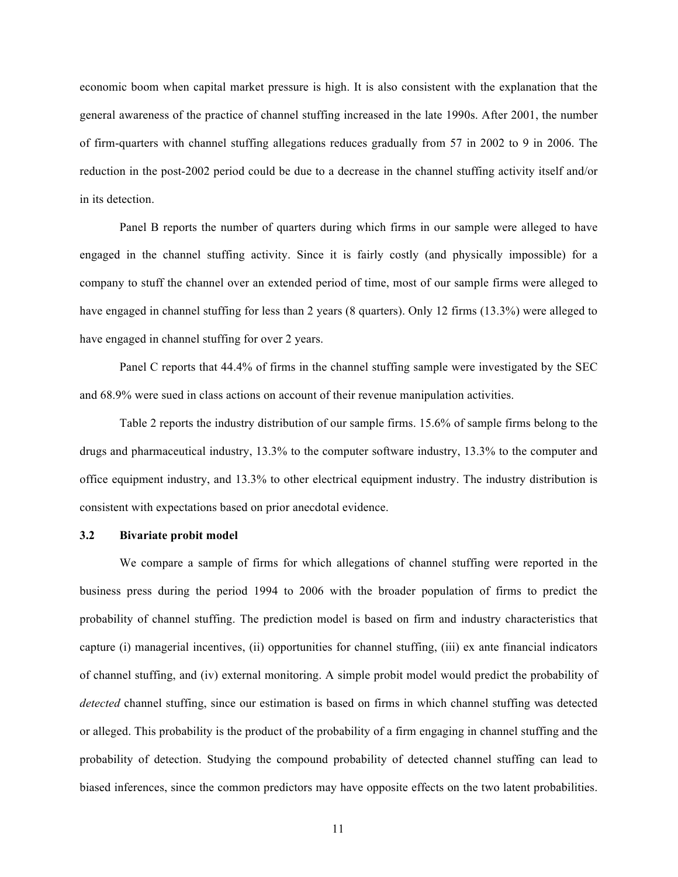economic boom when capital market pressure is high. It is also consistent with the explanation that the general awareness of the practice of channel stuffing increased in the late 1990s. After 2001, the number of firm-quarters with channel stuffing allegations reduces gradually from 57 in 2002 to 9 in 2006. The reduction in the post-2002 period could be due to a decrease in the channel stuffing activity itself and/or in its detection.

Panel B reports the number of quarters during which firms in our sample were alleged to have engaged in the channel stuffing activity. Since it is fairly costly (and physically impossible) for a company to stuff the channel over an extended period of time, most of our sample firms were alleged to have engaged in channel stuffing for less than 2 years (8 quarters). Only 12 firms (13.3%) were alleged to have engaged in channel stuffing for over 2 years.

Panel C reports that 44.4% of firms in the channel stuffing sample were investigated by the SEC and 68.9% were sued in class actions on account of their revenue manipulation activities.

Table 2 reports the industry distribution of our sample firms. 15.6% of sample firms belong to the drugs and pharmaceutical industry, 13.3% to the computer software industry, 13.3% to the computer and office equipment industry, and 13.3% to other electrical equipment industry. The industry distribution is consistent with expectations based on prior anecdotal evidence.

#### **3.2 Bivariate probit model**

We compare a sample of firms for which allegations of channel stuffing were reported in the business press during the period 1994 to 2006 with the broader population of firms to predict the probability of channel stuffing. The prediction model is based on firm and industry characteristics that capture (i) managerial incentives, (ii) opportunities for channel stuffing, (iii) ex ante financial indicators of channel stuffing, and (iv) external monitoring. A simple probit model would predict the probability of *detected* channel stuffing, since our estimation is based on firms in which channel stuffing was detected or alleged. This probability is the product of the probability of a firm engaging in channel stuffing and the probability of detection. Studying the compound probability of detected channel stuffing can lead to biased inferences, since the common predictors may have opposite effects on the two latent probabilities.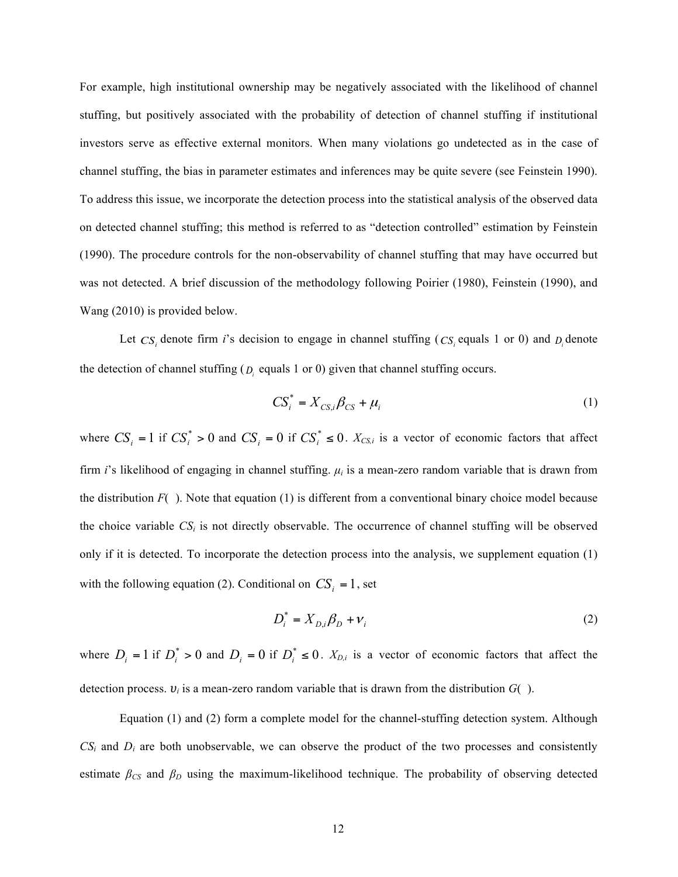For example, high institutional ownership may be negatively associated with the likelihood of channel stuffing, but positively associated with the probability of detection of channel stuffing if institutional investors serve as effective external monitors. When many violations go undetected as in the case of channel stuffing, the bias in parameter estimates and inferences may be quite severe (see Feinstein 1990). To address this issue, we incorporate the detection process into the statistical analysis of the observed data on detected channel stuffing; this method is referred to as "detection controlled" estimation by Feinstein (1990). The procedure controls for the non-observability of channel stuffing that may have occurred but was not detected. A brief discussion of the methodology following Poirier (1980), Feinstein (1990), and Wang (2010) is provided below.

Let  $CS_i$  denote firm *i*'s decision to engage in channel stuffing ( $CS_i$  equals 1 or 0) and  $D_i$  denote the detection of channel stuffing  $(D_i \text{ equals } 1 \text{ or } 0)$  given that channel stuffing occurs.

$$
CS_i^* = X_{CS,i}\beta_{CS} + \mu_i \tag{1}
$$

where  $CS_i = 1$  if  $CS_i^* > 0$  and  $CS_i = 0$  if  $CS_i^* \le 0$ .  $X_{CS,i}$  is a vector of economic factors that affect firm *i*'s likelihood of engaging in channel stuffing. *µi* is a mean-zero random variable that is drawn from the distribution  $F( )$ . Note that equation (1) is different from a conventional binary choice model because the choice variable *CSi* is not directly observable. The occurrence of channel stuffing will be observed only if it is detected. To incorporate the detection process into the analysis, we supplement equation (1) with the following equation (2). Conditional on  $CS_i = 1$ , set

$$
D_i^* = X_{D,i} \beta_D + v_i \tag{2}
$$

where  $D_i = 1$  if  $D_i^* > 0$  and  $D_i = 0$  if  $D_i^* \le 0$ .  $X_{D,i}$  is a vector of economic factors that affect the detection process. *υ<sup>i</sup>* is a mean-zero random variable that is drawn from the distribution *G*( ).

Equation (1) and (2) form a complete model for the channel-stuffing detection system. Although  $CS_i$  and  $D_i$  are both unobservable, we can observe the product of the two processes and consistently estimate  $\beta_{CS}$  and  $\beta_D$  using the maximum-likelihood technique. The probability of observing detected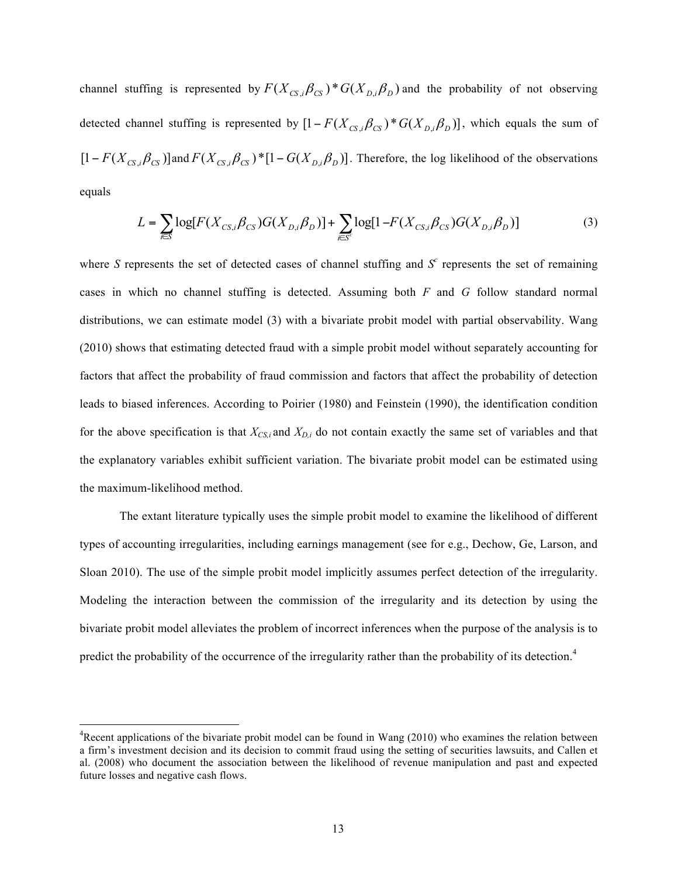channel stuffing is represented by  $F(X_{CS,i}\beta_{CS})^*G(X_{D,i}\beta_D)$  and the probability of not observing detected channel stuffing is represented by  $[1 - F(X_{CS,i}\beta_{CS}) * G(X_{D,i}\beta_{D})]$ , which equals the sum of  $[1 - F(X_{CS} \cdot \beta_{CS})]$  and  $F(X_{CS} \cdot \beta_{CS})$  \*  $[1 - G(X_{D} \cdot \beta_{D})]$ . Therefore, the log likelihood of the observations equals

$$
L = \sum_{i \in S} \log[F(X_{CS,i}\beta_{CS})G(X_{D,i}\beta_D)] + \sum_{i \in S^c} \log[1 - F(X_{CS,i}\beta_{CS})G(X_{D,i}\beta_D)]
$$
(3)

where *S* represents the set of detected cases of channel stuffing and  $S<sup>c</sup>$  represents the set of remaining cases in which no channel stuffing is detected. Assuming both *F* and *G* follow standard normal distributions, we can estimate model (3) with a bivariate probit model with partial observability. Wang (2010) shows that estimating detected fraud with a simple probit model without separately accounting for factors that affect the probability of fraud commission and factors that affect the probability of detection leads to biased inferences. According to Poirier (1980) and Feinstein (1990), the identification condition for the above specification is that  $X_{CS,i}$  and  $X_{D,i}$  do not contain exactly the same set of variables and that the explanatory variables exhibit sufficient variation. The bivariate probit model can be estimated using the maximum-likelihood method.

The extant literature typically uses the simple probit model to examine the likelihood of different types of accounting irregularities, including earnings management (see for e.g., Dechow, Ge, Larson, and Sloan 2010). The use of the simple probit model implicitly assumes perfect detection of the irregularity. Modeling the interaction between the commission of the irregularity and its detection by using the bivariate probit model alleviates the problem of incorrect inferences when the purpose of the analysis is to predict the probability of the occurrence of the irregularity rather than the probability of its detection.<sup>4</sup>

<sup>&</sup>lt;sup>4</sup> Recent applications of the bivariate probit model can be found in Wang (2010) who examines the relation between a firm's investment decision and its decision to commit fraud using the setting of securities lawsuits, and Callen et al. (2008) who document the association between the likelihood of revenue manipulation and past and expected future losses and negative cash flows.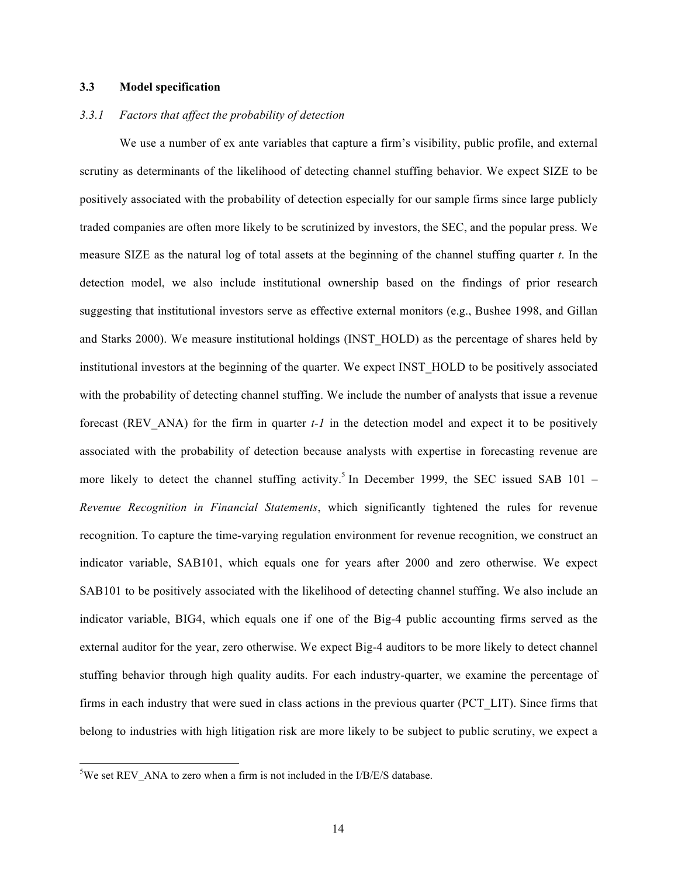## **3.3 Model specification**

#### *3.3.1 Factors that affect the probability of detection*

We use a number of ex ante variables that capture a firm's visibility, public profile, and external scrutiny as determinants of the likelihood of detecting channel stuffing behavior. We expect SIZE to be positively associated with the probability of detection especially for our sample firms since large publicly traded companies are often more likely to be scrutinized by investors, the SEC, and the popular press. We measure SIZE as the natural log of total assets at the beginning of the channel stuffing quarter *t*. In the detection model, we also include institutional ownership based on the findings of prior research suggesting that institutional investors serve as effective external monitors (e.g., Bushee 1998, and Gillan and Starks 2000). We measure institutional holdings (INST\_HOLD) as the percentage of shares held by institutional investors at the beginning of the quarter. We expect INST\_HOLD to be positively associated with the probability of detecting channel stuffing. We include the number of analysts that issue a revenue forecast (REV ANA) for the firm in quarter  $t-1$  in the detection model and expect it to be positively associated with the probability of detection because analysts with expertise in forecasting revenue are more likely to detect the channel stuffing activity.<sup>5</sup> In December 1999, the SEC issued SAB 101 – *Revenue Recognition in Financial Statements*, which significantly tightened the rules for revenue recognition. To capture the time-varying regulation environment for revenue recognition, we construct an indicator variable, SAB101, which equals one for years after 2000 and zero otherwise. We expect SAB101 to be positively associated with the likelihood of detecting channel stuffing. We also include an indicator variable, BIG4, which equals one if one of the Big-4 public accounting firms served as the external auditor for the year, zero otherwise. We expect Big-4 auditors to be more likely to detect channel stuffing behavior through high quality audits. For each industry-quarter, we examine the percentage of firms in each industry that were sued in class actions in the previous quarter (PCT\_LIT). Since firms that belong to industries with high litigation risk are more likely to be subject to public scrutiny, we expect a

<sup>&</sup>lt;sup>5</sup>We set REV ANA to zero when a firm is not included in the I/B/E/S database.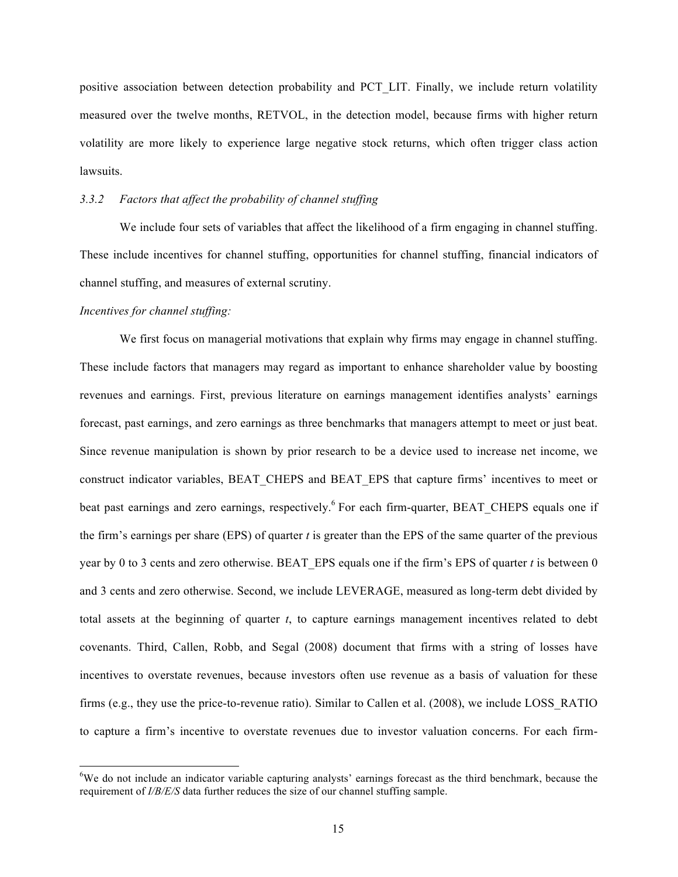positive association between detection probability and PCT\_LIT. Finally, we include return volatility measured over the twelve months, RETVOL, in the detection model, because firms with higher return volatility are more likely to experience large negative stock returns, which often trigger class action lawsuits.

## *3.3.2 Factors that affect the probability of channel stuffing*

We include four sets of variables that affect the likelihood of a firm engaging in channel stuffing. These include incentives for channel stuffing, opportunities for channel stuffing, financial indicators of channel stuffing, and measures of external scrutiny.

#### *Incentives for channel stuffing:*

We first focus on managerial motivations that explain why firms may engage in channel stuffing. These include factors that managers may regard as important to enhance shareholder value by boosting revenues and earnings. First, previous literature on earnings management identifies analysts' earnings forecast, past earnings, and zero earnings as three benchmarks that managers attempt to meet or just beat. Since revenue manipulation is shown by prior research to be a device used to increase net income, we construct indicator variables, BEAT\_CHEPS and BEAT\_EPS that capture firms' incentives to meet or beat past earnings and zero earnings, respectively.<sup>6</sup> For each firm-quarter, BEAT CHEPS equals one if the firm's earnings per share (EPS) of quarter *t* is greater than the EPS of the same quarter of the previous year by 0 to 3 cents and zero otherwise. BEAT EPS equals one if the firm's EPS of quarter  $t$  is between 0 and 3 cents and zero otherwise. Second, we include LEVERAGE, measured as long-term debt divided by total assets at the beginning of quarter *t*, to capture earnings management incentives related to debt covenants. Third, Callen, Robb, and Segal (2008) document that firms with a string of losses have incentives to overstate revenues, because investors often use revenue as a basis of valuation for these firms (e.g., they use the price-to-revenue ratio). Similar to Callen et al. (2008), we include LOSS\_RATIO to capture a firm's incentive to overstate revenues due to investor valuation concerns. For each firm-

<sup>&</sup>lt;sup>6</sup>We do not include an indicator variable capturing analysts' earnings forecast as the third benchmark, because the requirement of *I/B/E/S* data further reduces the size of our channel stuffing sample.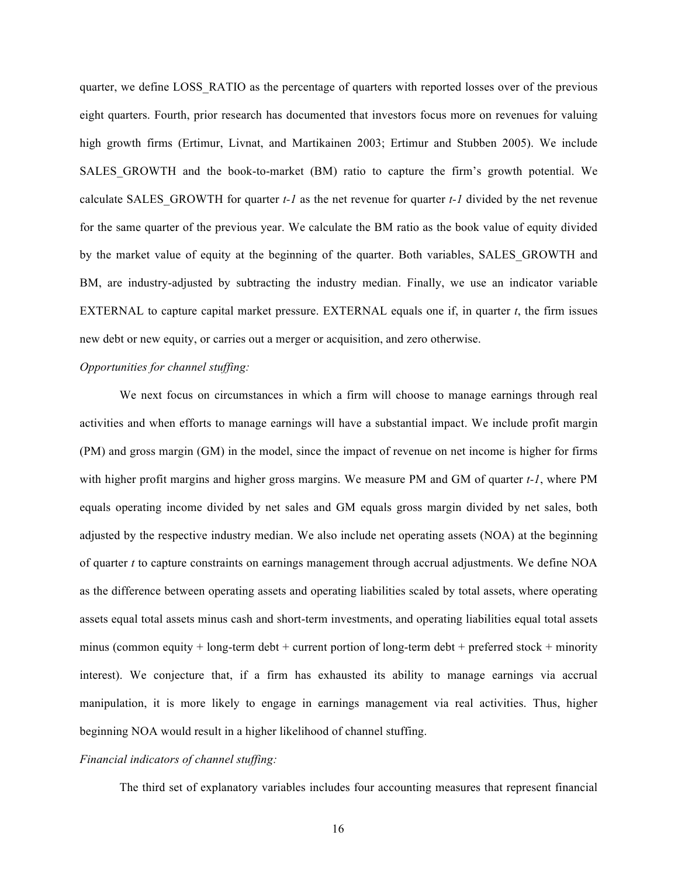quarter, we define LOSS\_RATIO as the percentage of quarters with reported losses over of the previous eight quarters. Fourth, prior research has documented that investors focus more on revenues for valuing high growth firms (Ertimur, Livnat, and Martikainen 2003; Ertimur and Stubben 2005). We include SALES GROWTH and the book-to-market (BM) ratio to capture the firm's growth potential. We calculate SALES GROWTH for quarter  $t$ -1 as the net revenue for quarter  $t$ -1 divided by the net revenue for the same quarter of the previous year. We calculate the BM ratio as the book value of equity divided by the market value of equity at the beginning of the quarter. Both variables, SALES\_GROWTH and BM, are industry-adjusted by subtracting the industry median. Finally, we use an indicator variable EXTERNAL to capture capital market pressure. EXTERNAL equals one if, in quarter *t*, the firm issues new debt or new equity, or carries out a merger or acquisition, and zero otherwise.

#### *Opportunities for channel stuffing:*

We next focus on circumstances in which a firm will choose to manage earnings through real activities and when efforts to manage earnings will have a substantial impact. We include profit margin (PM) and gross margin (GM) in the model, since the impact of revenue on net income is higher for firms with higher profit margins and higher gross margins. We measure PM and GM of quarter *t-1*, where PM equals operating income divided by net sales and GM equals gross margin divided by net sales, both adjusted by the respective industry median. We also include net operating assets (NOA) at the beginning of quarter *t* to capture constraints on earnings management through accrual adjustments. We define NOA as the difference between operating assets and operating liabilities scaled by total assets, where operating assets equal total assets minus cash and short-term investments, and operating liabilities equal total assets minus (common equity  $+$  long-term debt  $+$  current portion of long-term debt  $+$  preferred stock  $+$  minority interest). We conjecture that, if a firm has exhausted its ability to manage earnings via accrual manipulation, it is more likely to engage in earnings management via real activities. Thus, higher beginning NOA would result in a higher likelihood of channel stuffing.

#### *Financial indicators of channel stuffing:*

The third set of explanatory variables includes four accounting measures that represent financial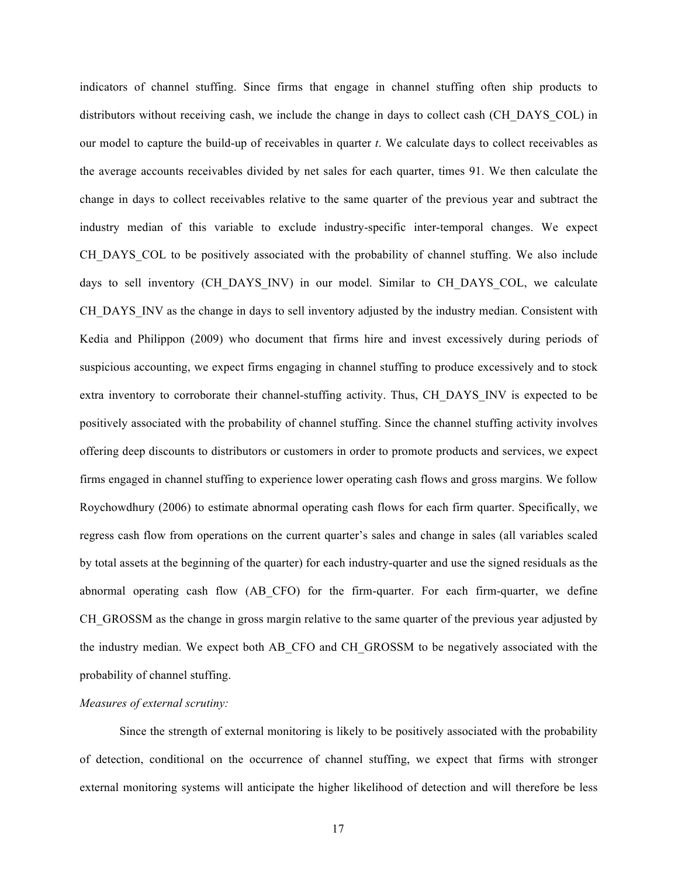indicators of channel stuffing. Since firms that engage in channel stuffing often ship products to distributors without receiving cash, we include the change in days to collect cash (CH\_DAYS\_COL) in our model to capture the build-up of receivables in quarter *t*. We calculate days to collect receivables as the average accounts receivables divided by net sales for each quarter, times 91. We then calculate the change in days to collect receivables relative to the same quarter of the previous year and subtract the industry median of this variable to exclude industry-specific inter-temporal changes. We expect CH\_DAYS\_COL to be positively associated with the probability of channel stuffing. We also include days to sell inventory (CH\_DAYS\_INV) in our model. Similar to CH\_DAYS\_COL, we calculate CH\_DAYS\_INV as the change in days to sell inventory adjusted by the industry median. Consistent with Kedia and Philippon (2009) who document that firms hire and invest excessively during periods of suspicious accounting, we expect firms engaging in channel stuffing to produce excessively and to stock extra inventory to corroborate their channel-stuffing activity. Thus, CH\_DAYS\_INV is expected to be positively associated with the probability of channel stuffing. Since the channel stuffing activity involves offering deep discounts to distributors or customers in order to promote products and services, we expect firms engaged in channel stuffing to experience lower operating cash flows and gross margins. We follow Roychowdhury (2006) to estimate abnormal operating cash flows for each firm quarter. Specifically, we regress cash flow from operations on the current quarter's sales and change in sales (all variables scaled by total assets at the beginning of the quarter) for each industry-quarter and use the signed residuals as the abnormal operating cash flow (AB\_CFO) for the firm-quarter. For each firm-quarter, we define CH GROSSM as the change in gross margin relative to the same quarter of the previous year adjusted by the industry median. We expect both AB\_CFO and CH\_GROSSM to be negatively associated with the probability of channel stuffing.

## *Measures of external scrutiny:*

Since the strength of external monitoring is likely to be positively associated with the probability of detection, conditional on the occurrence of channel stuffing, we expect that firms with stronger external monitoring systems will anticipate the higher likelihood of detection and will therefore be less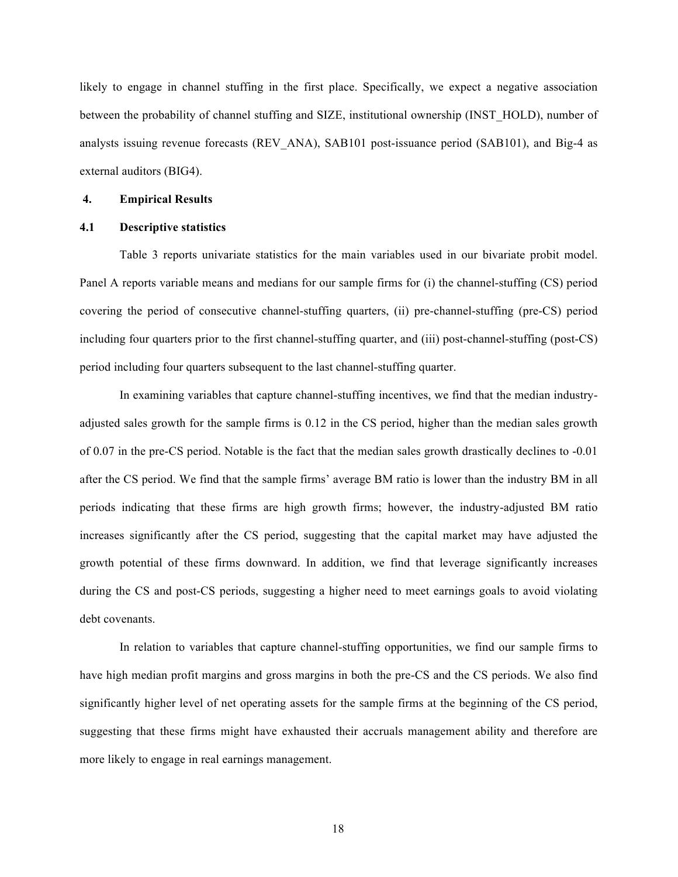likely to engage in channel stuffing in the first place. Specifically, we expect a negative association between the probability of channel stuffing and SIZE, institutional ownership (INST\_HOLD), number of analysts issuing revenue forecasts (REV\_ANA), SAB101 post-issuance period (SAB101), and Big-4 as external auditors (BIG4).

#### **4. Empirical Results**

## **4.1 Descriptive statistics**

Table 3 reports univariate statistics for the main variables used in our bivariate probit model. Panel A reports variable means and medians for our sample firms for (i) the channel-stuffing (CS) period covering the period of consecutive channel-stuffing quarters, (ii) pre-channel-stuffing (pre-CS) period including four quarters prior to the first channel-stuffing quarter, and (iii) post-channel-stuffing (post-CS) period including four quarters subsequent to the last channel-stuffing quarter.

In examining variables that capture channel-stuffing incentives, we find that the median industryadjusted sales growth for the sample firms is 0.12 in the CS period, higher than the median sales growth of 0.07 in the pre-CS period. Notable is the fact that the median sales growth drastically declines to -0.01 after the CS period. We find that the sample firms' average BM ratio is lower than the industry BM in all periods indicating that these firms are high growth firms; however, the industry-adjusted BM ratio increases significantly after the CS period, suggesting that the capital market may have adjusted the growth potential of these firms downward. In addition, we find that leverage significantly increases during the CS and post-CS periods, suggesting a higher need to meet earnings goals to avoid violating debt covenants.

In relation to variables that capture channel-stuffing opportunities, we find our sample firms to have high median profit margins and gross margins in both the pre-CS and the CS periods. We also find significantly higher level of net operating assets for the sample firms at the beginning of the CS period, suggesting that these firms might have exhausted their accruals management ability and therefore are more likely to engage in real earnings management.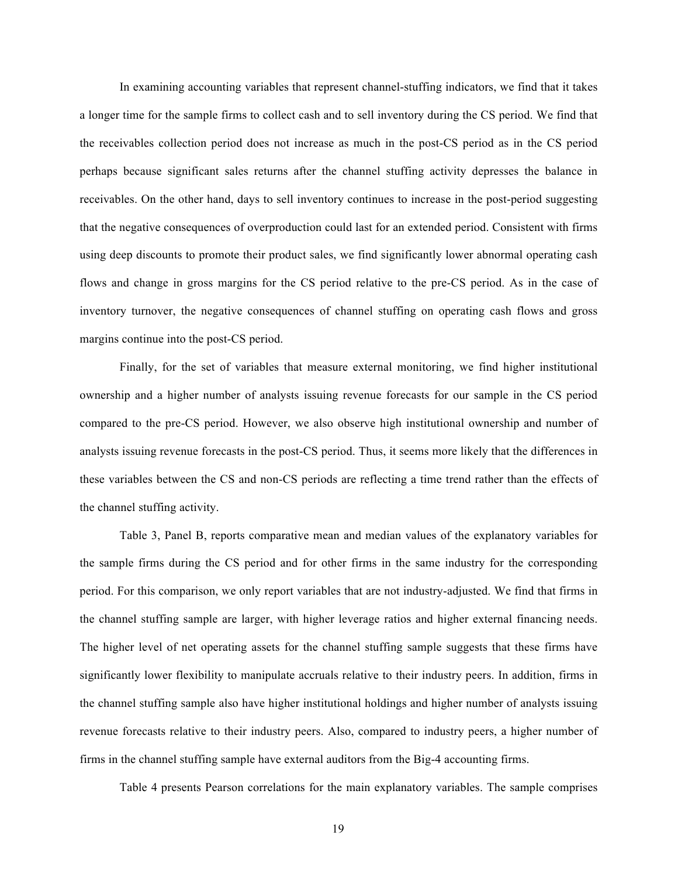In examining accounting variables that represent channel-stuffing indicators, we find that it takes a longer time for the sample firms to collect cash and to sell inventory during the CS period. We find that the receivables collection period does not increase as much in the post-CS period as in the CS period perhaps because significant sales returns after the channel stuffing activity depresses the balance in receivables. On the other hand, days to sell inventory continues to increase in the post-period suggesting that the negative consequences of overproduction could last for an extended period. Consistent with firms using deep discounts to promote their product sales, we find significantly lower abnormal operating cash flows and change in gross margins for the CS period relative to the pre-CS period. As in the case of inventory turnover, the negative consequences of channel stuffing on operating cash flows and gross margins continue into the post-CS period.

Finally, for the set of variables that measure external monitoring, we find higher institutional ownership and a higher number of analysts issuing revenue forecasts for our sample in the CS period compared to the pre-CS period. However, we also observe high institutional ownership and number of analysts issuing revenue forecasts in the post-CS period. Thus, it seems more likely that the differences in these variables between the CS and non-CS periods are reflecting a time trend rather than the effects of the channel stuffing activity.

Table 3, Panel B, reports comparative mean and median values of the explanatory variables for the sample firms during the CS period and for other firms in the same industry for the corresponding period. For this comparison, we only report variables that are not industry-adjusted. We find that firms in the channel stuffing sample are larger, with higher leverage ratios and higher external financing needs. The higher level of net operating assets for the channel stuffing sample suggests that these firms have significantly lower flexibility to manipulate accruals relative to their industry peers. In addition, firms in the channel stuffing sample also have higher institutional holdings and higher number of analysts issuing revenue forecasts relative to their industry peers. Also, compared to industry peers, a higher number of firms in the channel stuffing sample have external auditors from the Big-4 accounting firms.

Table 4 presents Pearson correlations for the main explanatory variables. The sample comprises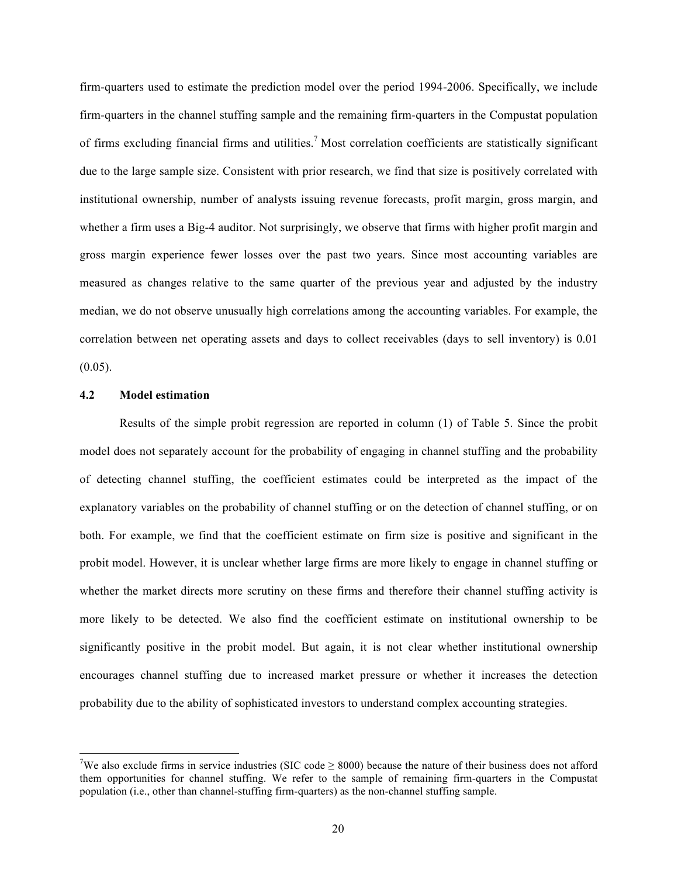firm-quarters used to estimate the prediction model over the period 1994-2006. Specifically, we include firm-quarters in the channel stuffing sample and the remaining firm-quarters in the Compustat population of firms excluding financial firms and utilities.7 Most correlation coefficients are statistically significant due to the large sample size. Consistent with prior research, we find that size is positively correlated with institutional ownership, number of analysts issuing revenue forecasts, profit margin, gross margin, and whether a firm uses a Big-4 auditor. Not surprisingly, we observe that firms with higher profit margin and gross margin experience fewer losses over the past two years. Since most accounting variables are measured as changes relative to the same quarter of the previous year and adjusted by the industry median, we do not observe unusually high correlations among the accounting variables. For example, the correlation between net operating assets and days to collect receivables (days to sell inventory) is 0.01  $(0.05)$ .

#### **4.2 Model estimation**

Results of the simple probit regression are reported in column (1) of Table 5. Since the probit model does not separately account for the probability of engaging in channel stuffing and the probability of detecting channel stuffing, the coefficient estimates could be interpreted as the impact of the explanatory variables on the probability of channel stuffing or on the detection of channel stuffing, or on both. For example, we find that the coefficient estimate on firm size is positive and significant in the probit model. However, it is unclear whether large firms are more likely to engage in channel stuffing or whether the market directs more scrutiny on these firms and therefore their channel stuffing activity is more likely to be detected. We also find the coefficient estimate on institutional ownership to be significantly positive in the probit model. But again, it is not clear whether institutional ownership encourages channel stuffing due to increased market pressure or whether it increases the detection probability due to the ability of sophisticated investors to understand complex accounting strategies.

<sup>&</sup>lt;sup>7</sup>We also exclude firms in service industries (SIC code  $\geq$  8000) because the nature of their business does not afford them opportunities for channel stuffing. We refer to the sample of remaining firm-quarters in the Compustat population (i.e., other than channel-stuffing firm-quarters) as the non-channel stuffing sample.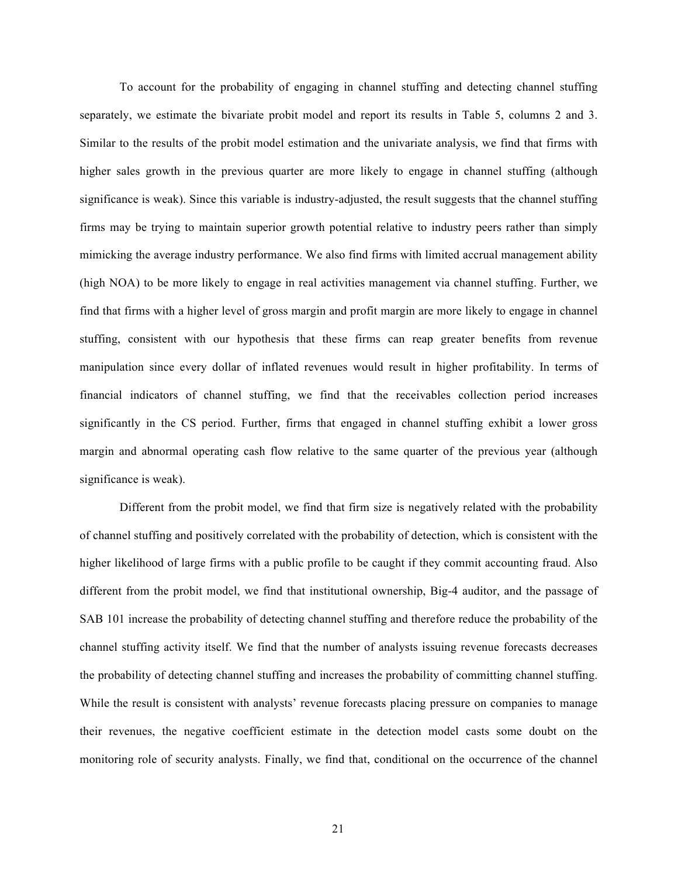To account for the probability of engaging in channel stuffing and detecting channel stuffing separately, we estimate the bivariate probit model and report its results in Table 5, columns 2 and 3. Similar to the results of the probit model estimation and the univariate analysis, we find that firms with higher sales growth in the previous quarter are more likely to engage in channel stuffing (although significance is weak). Since this variable is industry-adjusted, the result suggests that the channel stuffing firms may be trying to maintain superior growth potential relative to industry peers rather than simply mimicking the average industry performance. We also find firms with limited accrual management ability (high NOA) to be more likely to engage in real activities management via channel stuffing. Further, we find that firms with a higher level of gross margin and profit margin are more likely to engage in channel stuffing, consistent with our hypothesis that these firms can reap greater benefits from revenue manipulation since every dollar of inflated revenues would result in higher profitability. In terms of financial indicators of channel stuffing, we find that the receivables collection period increases significantly in the CS period. Further, firms that engaged in channel stuffing exhibit a lower gross margin and abnormal operating cash flow relative to the same quarter of the previous year (although significance is weak).

Different from the probit model, we find that firm size is negatively related with the probability of channel stuffing and positively correlated with the probability of detection, which is consistent with the higher likelihood of large firms with a public profile to be caught if they commit accounting fraud. Also different from the probit model, we find that institutional ownership, Big-4 auditor, and the passage of SAB 101 increase the probability of detecting channel stuffing and therefore reduce the probability of the channel stuffing activity itself. We find that the number of analysts issuing revenue forecasts decreases the probability of detecting channel stuffing and increases the probability of committing channel stuffing. While the result is consistent with analysts' revenue forecasts placing pressure on companies to manage their revenues, the negative coefficient estimate in the detection model casts some doubt on the monitoring role of security analysts. Finally, we find that, conditional on the occurrence of the channel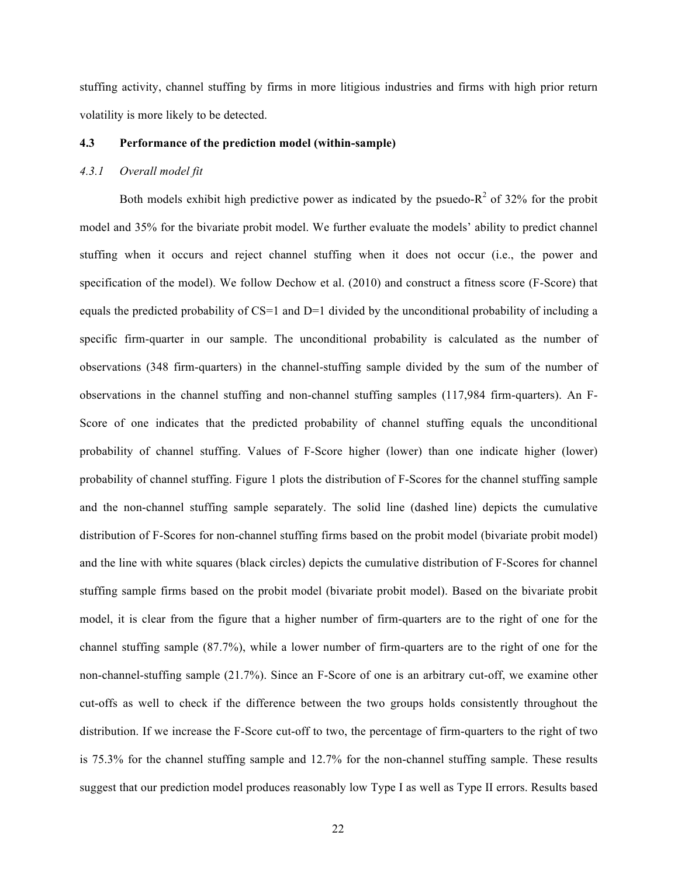stuffing activity, channel stuffing by firms in more litigious industries and firms with high prior return volatility is more likely to be detected.

#### **4.3 Performance of the prediction model (within-sample)**

## *4.3.1 Overall model fit*

Both models exhibit high predictive power as indicated by the psuedo- $R^2$  of 32% for the probit model and 35% for the bivariate probit model. We further evaluate the models' ability to predict channel stuffing when it occurs and reject channel stuffing when it does not occur (i.e., the power and specification of the model). We follow Dechow et al. (2010) and construct a fitness score (F-Score) that equals the predicted probability of CS=1 and D=1 divided by the unconditional probability of including a specific firm-quarter in our sample. The unconditional probability is calculated as the number of observations (348 firm-quarters) in the channel-stuffing sample divided by the sum of the number of observations in the channel stuffing and non-channel stuffing samples (117,984 firm-quarters). An F-Score of one indicates that the predicted probability of channel stuffing equals the unconditional probability of channel stuffing. Values of F-Score higher (lower) than one indicate higher (lower) probability of channel stuffing. Figure 1 plots the distribution of F-Scores for the channel stuffing sample and the non-channel stuffing sample separately. The solid line (dashed line) depicts the cumulative distribution of F-Scores for non-channel stuffing firms based on the probit model (bivariate probit model) and the line with white squares (black circles) depicts the cumulative distribution of F-Scores for channel stuffing sample firms based on the probit model (bivariate probit model). Based on the bivariate probit model, it is clear from the figure that a higher number of firm-quarters are to the right of one for the channel stuffing sample (87.7%), while a lower number of firm-quarters are to the right of one for the non-channel-stuffing sample (21.7%). Since an F-Score of one is an arbitrary cut-off, we examine other cut-offs as well to check if the difference between the two groups holds consistently throughout the distribution. If we increase the F-Score cut-off to two, the percentage of firm-quarters to the right of two is 75.3% for the channel stuffing sample and 12.7% for the non-channel stuffing sample. These results suggest that our prediction model produces reasonably low Type I as well as Type II errors. Results based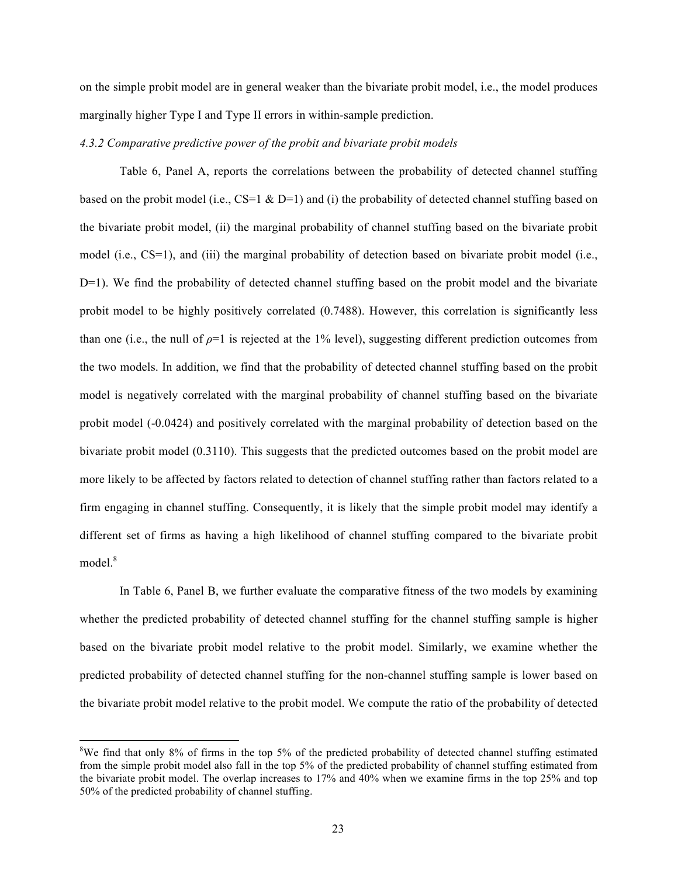on the simple probit model are in general weaker than the bivariate probit model, i.e., the model produces marginally higher Type I and Type II errors in within-sample prediction.

#### *4.3.2 Comparative predictive power of the probit and bivariate probit models*

Table 6, Panel A, reports the correlations between the probability of detected channel stuffing based on the probit model (i.e.,  $CS=1 \& D=1$ ) and (i) the probability of detected channel stuffing based on the bivariate probit model, (ii) the marginal probability of channel stuffing based on the bivariate probit model (i.e., CS=1), and (iii) the marginal probability of detection based on bivariate probit model (i.e.,  $D=1$ ). We find the probability of detected channel stuffing based on the probit model and the bivariate probit model to be highly positively correlated (0.7488). However, this correlation is significantly less than one (i.e., the null of  $\rho=1$  is rejected at the 1% level), suggesting different prediction outcomes from the two models. In addition, we find that the probability of detected channel stuffing based on the probit model is negatively correlated with the marginal probability of channel stuffing based on the bivariate probit model (-0.0424) and positively correlated with the marginal probability of detection based on the bivariate probit model (0.3110). This suggests that the predicted outcomes based on the probit model are more likely to be affected by factors related to detection of channel stuffing rather than factors related to a firm engaging in channel stuffing. Consequently, it is likely that the simple probit model may identify a different set of firms as having a high likelihood of channel stuffing compared to the bivariate probit model.<sup>8</sup>

In Table 6, Panel B, we further evaluate the comparative fitness of the two models by examining whether the predicted probability of detected channel stuffing for the channel stuffing sample is higher based on the bivariate probit model relative to the probit model. Similarly, we examine whether the predicted probability of detected channel stuffing for the non-channel stuffing sample is lower based on the bivariate probit model relative to the probit model. We compute the ratio of the probability of detected

<sup>&</sup>lt;sup>8</sup>We find that only 8% of firms in the top 5% of the predicted probability of detected channel stuffing estimated from the simple probit model also fall in the top 5% of the predicted probability of channel stuffing estimated from the bivariate probit model. The overlap increases to 17% and 40% when we examine firms in the top 25% and top 50% of the predicted probability of channel stuffing.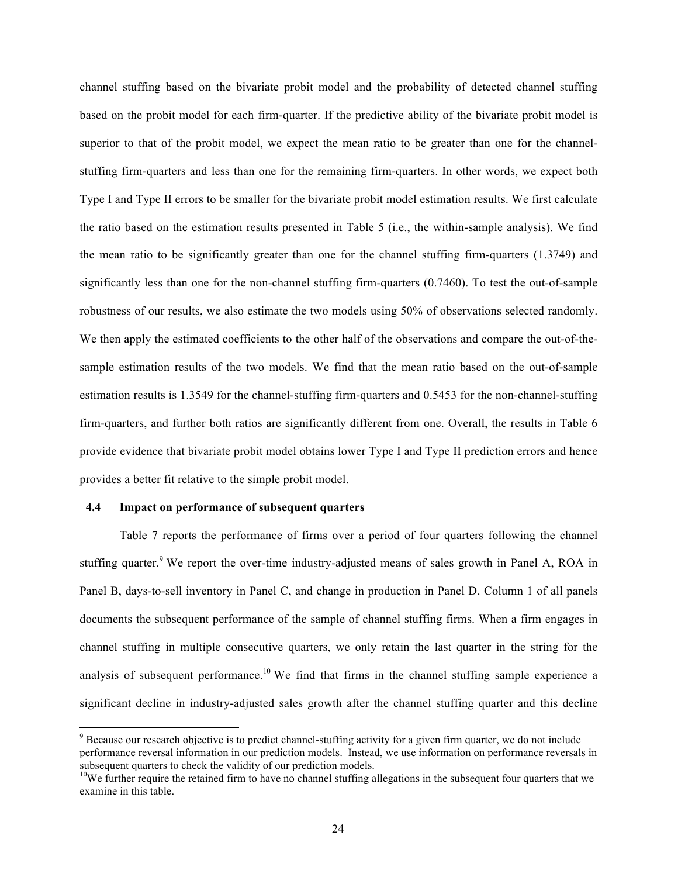channel stuffing based on the bivariate probit model and the probability of detected channel stuffing based on the probit model for each firm-quarter. If the predictive ability of the bivariate probit model is superior to that of the probit model, we expect the mean ratio to be greater than one for the channelstuffing firm-quarters and less than one for the remaining firm-quarters. In other words, we expect both Type I and Type II errors to be smaller for the bivariate probit model estimation results. We first calculate the ratio based on the estimation results presented in Table 5 (i.e., the within-sample analysis). We find the mean ratio to be significantly greater than one for the channel stuffing firm-quarters (1.3749) and significantly less than one for the non-channel stuffing firm-quarters (0.7460). To test the out-of-sample robustness of our results, we also estimate the two models using 50% of observations selected randomly. We then apply the estimated coefficients to the other half of the observations and compare the out-of-thesample estimation results of the two models. We find that the mean ratio based on the out-of-sample estimation results is 1.3549 for the channel-stuffing firm-quarters and 0.5453 for the non-channel-stuffing firm-quarters, and further both ratios are significantly different from one. Overall, the results in Table 6 provide evidence that bivariate probit model obtains lower Type I and Type II prediction errors and hence provides a better fit relative to the simple probit model.

#### **4.4 Impact on performance of subsequent quarters**

Table 7 reports the performance of firms over a period of four quarters following the channel stuffing quarter.<sup>9</sup> We report the over-time industry-adjusted means of sales growth in Panel A, ROA in Panel B, days-to-sell inventory in Panel C, and change in production in Panel D. Column 1 of all panels documents the subsequent performance of the sample of channel stuffing firms. When a firm engages in channel stuffing in multiple consecutive quarters, we only retain the last quarter in the string for the analysis of subsequent performance.<sup>10</sup> We find that firms in the channel stuffing sample experience a significant decline in industry-adjusted sales growth after the channel stuffing quarter and this decline

<sup>&</sup>lt;sup>9</sup> Because our research objective is to predict channel-stuffing activity for a given firm quarter, we do not include performance reversal information in our prediction models. Instead, we use information on performance reversals in subsequent quarters to check the validity of our prediction models.<br><sup>10</sup>We further require the retained firm to have no channel stuffing allegations in the subsequent four quarters that we

examine in this table.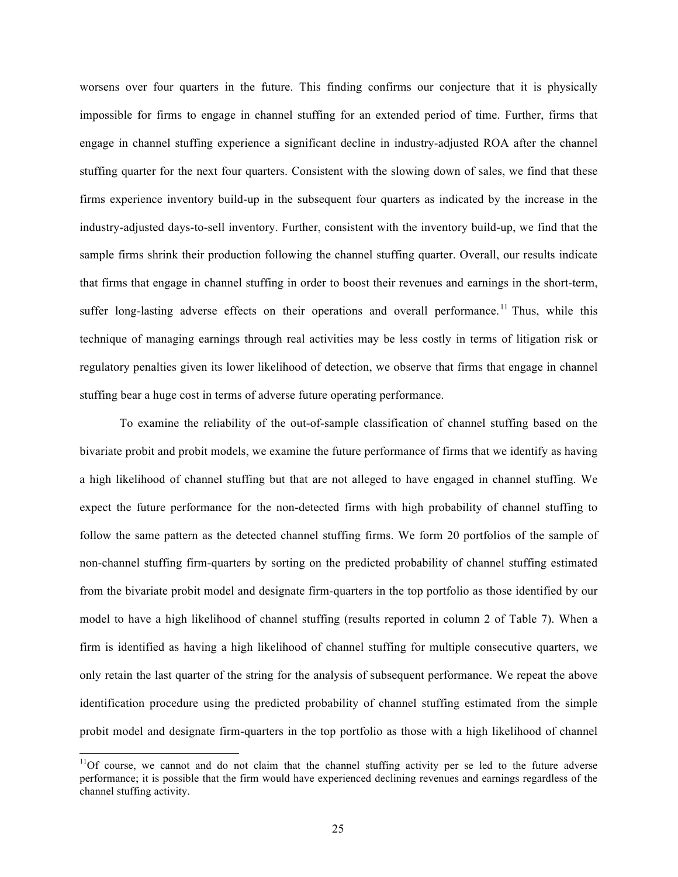worsens over four quarters in the future. This finding confirms our conjecture that it is physically impossible for firms to engage in channel stuffing for an extended period of time. Further, firms that engage in channel stuffing experience a significant decline in industry-adjusted ROA after the channel stuffing quarter for the next four quarters. Consistent with the slowing down of sales, we find that these firms experience inventory build-up in the subsequent four quarters as indicated by the increase in the industry-adjusted days-to-sell inventory. Further, consistent with the inventory build-up, we find that the sample firms shrink their production following the channel stuffing quarter. Overall, our results indicate that firms that engage in channel stuffing in order to boost their revenues and earnings in the short-term, suffer long-lasting adverse effects on their operations and overall performance.<sup>11</sup> Thus, while this technique of managing earnings through real activities may be less costly in terms of litigation risk or regulatory penalties given its lower likelihood of detection, we observe that firms that engage in channel stuffing bear a huge cost in terms of adverse future operating performance.

To examine the reliability of the out-of-sample classification of channel stuffing based on the bivariate probit and probit models, we examine the future performance of firms that we identify as having a high likelihood of channel stuffing but that are not alleged to have engaged in channel stuffing. We expect the future performance for the non-detected firms with high probability of channel stuffing to follow the same pattern as the detected channel stuffing firms. We form 20 portfolios of the sample of non-channel stuffing firm-quarters by sorting on the predicted probability of channel stuffing estimated from the bivariate probit model and designate firm-quarters in the top portfolio as those identified by our model to have a high likelihood of channel stuffing (results reported in column 2 of Table 7). When a firm is identified as having a high likelihood of channel stuffing for multiple consecutive quarters, we only retain the last quarter of the string for the analysis of subsequent performance. We repeat the above identification procedure using the predicted probability of channel stuffing estimated from the simple probit model and designate firm-quarters in the top portfolio as those with a high likelihood of channel

 $11$ Of course, we cannot and do not claim that the channel stuffing activity per se led to the future adverse performance; it is possible that the firm would have experienced declining revenues and earnings regardless of the channel stuffing activity.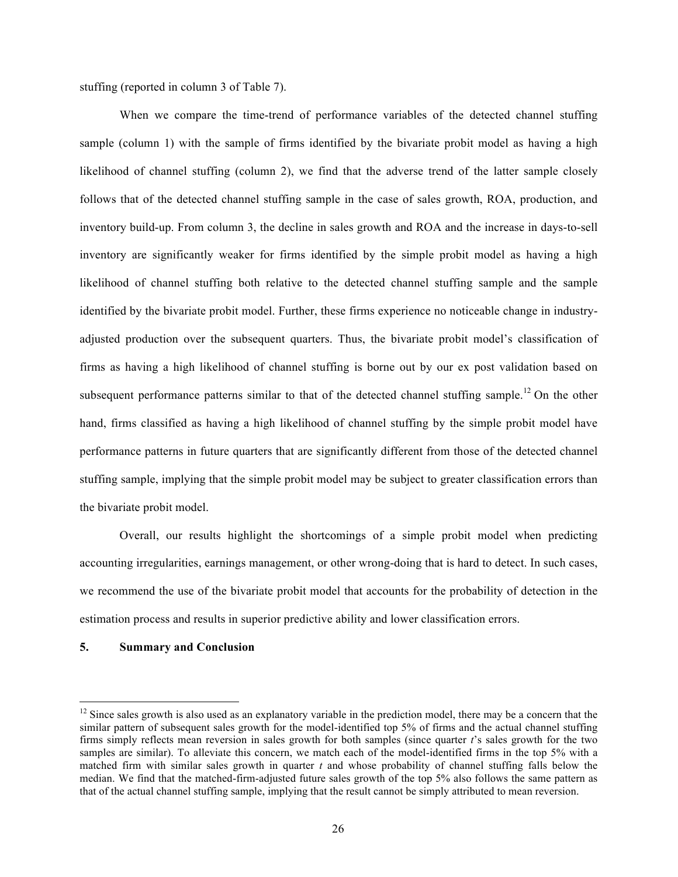stuffing (reported in column 3 of Table 7).

When we compare the time-trend of performance variables of the detected channel stuffing sample (column 1) with the sample of firms identified by the bivariate probit model as having a high likelihood of channel stuffing (column 2), we find that the adverse trend of the latter sample closely follows that of the detected channel stuffing sample in the case of sales growth, ROA, production, and inventory build-up. From column 3, the decline in sales growth and ROA and the increase in days-to-sell inventory are significantly weaker for firms identified by the simple probit model as having a high likelihood of channel stuffing both relative to the detected channel stuffing sample and the sample identified by the bivariate probit model. Further, these firms experience no noticeable change in industryadjusted production over the subsequent quarters. Thus, the bivariate probit model's classification of firms as having a high likelihood of channel stuffing is borne out by our ex post validation based on subsequent performance patterns similar to that of the detected channel stuffing sample.<sup>12</sup> On the other hand, firms classified as having a high likelihood of channel stuffing by the simple probit model have performance patterns in future quarters that are significantly different from those of the detected channel stuffing sample, implying that the simple probit model may be subject to greater classification errors than the bivariate probit model.

Overall, our results highlight the shortcomings of a simple probit model when predicting accounting irregularities, earnings management, or other wrong-doing that is hard to detect. In such cases, we recommend the use of the bivariate probit model that accounts for the probability of detection in the estimation process and results in superior predictive ability and lower classification errors.

## **5. Summary and Conclusion**

<sup>&</sup>lt;sup>12</sup> Since sales growth is also used as an explanatory variable in the prediction model, there may be a concern that the similar pattern of subsequent sales growth for the model-identified top 5% of firms and the actual channel stuffing firms simply reflects mean reversion in sales growth for both samples (since quarter *t*'s sales growth for the two samples are similar). To alleviate this concern, we match each of the model-identified firms in the top 5% with a matched firm with similar sales growth in quarter *t* and whose probability of channel stuffing falls below the median. We find that the matched-firm-adjusted future sales growth of the top 5% also follows the same pattern as that of the actual channel stuffing sample, implying that the result cannot be simply attributed to mean reversion.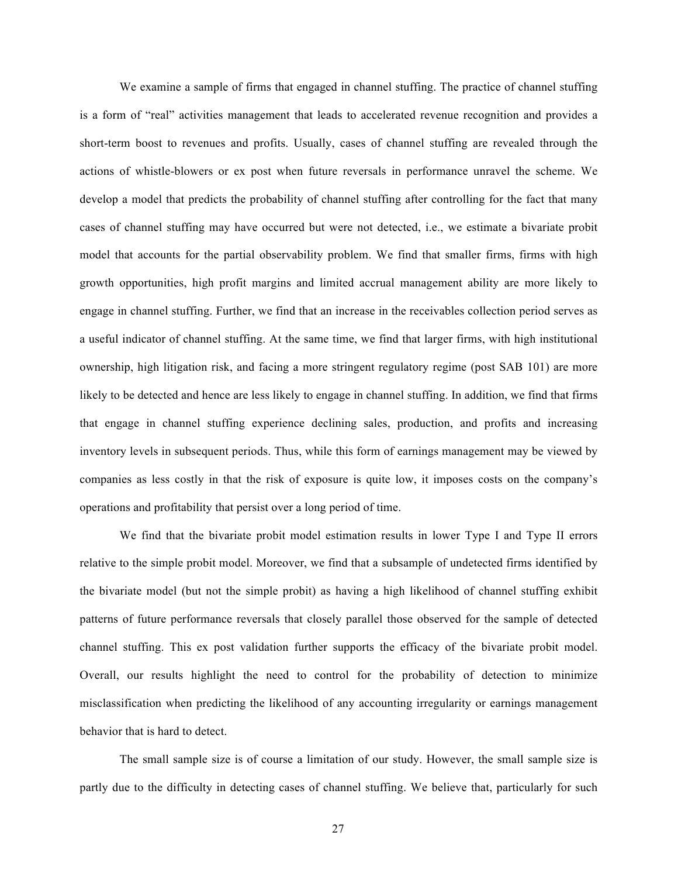We examine a sample of firms that engaged in channel stuffing. The practice of channel stuffing is a form of "real" activities management that leads to accelerated revenue recognition and provides a short-term boost to revenues and profits. Usually, cases of channel stuffing are revealed through the actions of whistle-blowers or ex post when future reversals in performance unravel the scheme. We develop a model that predicts the probability of channel stuffing after controlling for the fact that many cases of channel stuffing may have occurred but were not detected, i.e., we estimate a bivariate probit model that accounts for the partial observability problem. We find that smaller firms, firms with high growth opportunities, high profit margins and limited accrual management ability are more likely to engage in channel stuffing. Further, we find that an increase in the receivables collection period serves as a useful indicator of channel stuffing. At the same time, we find that larger firms, with high institutional ownership, high litigation risk, and facing a more stringent regulatory regime (post SAB 101) are more likely to be detected and hence are less likely to engage in channel stuffing. In addition, we find that firms that engage in channel stuffing experience declining sales, production, and profits and increasing inventory levels in subsequent periods. Thus, while this form of earnings management may be viewed by companies as less costly in that the risk of exposure is quite low, it imposes costs on the company's operations and profitability that persist over a long period of time.

We find that the bivariate probit model estimation results in lower Type I and Type II errors relative to the simple probit model. Moreover, we find that a subsample of undetected firms identified by the bivariate model (but not the simple probit) as having a high likelihood of channel stuffing exhibit patterns of future performance reversals that closely parallel those observed for the sample of detected channel stuffing. This ex post validation further supports the efficacy of the bivariate probit model. Overall, our results highlight the need to control for the probability of detection to minimize misclassification when predicting the likelihood of any accounting irregularity or earnings management behavior that is hard to detect.

The small sample size is of course a limitation of our study. However, the small sample size is partly due to the difficulty in detecting cases of channel stuffing. We believe that, particularly for such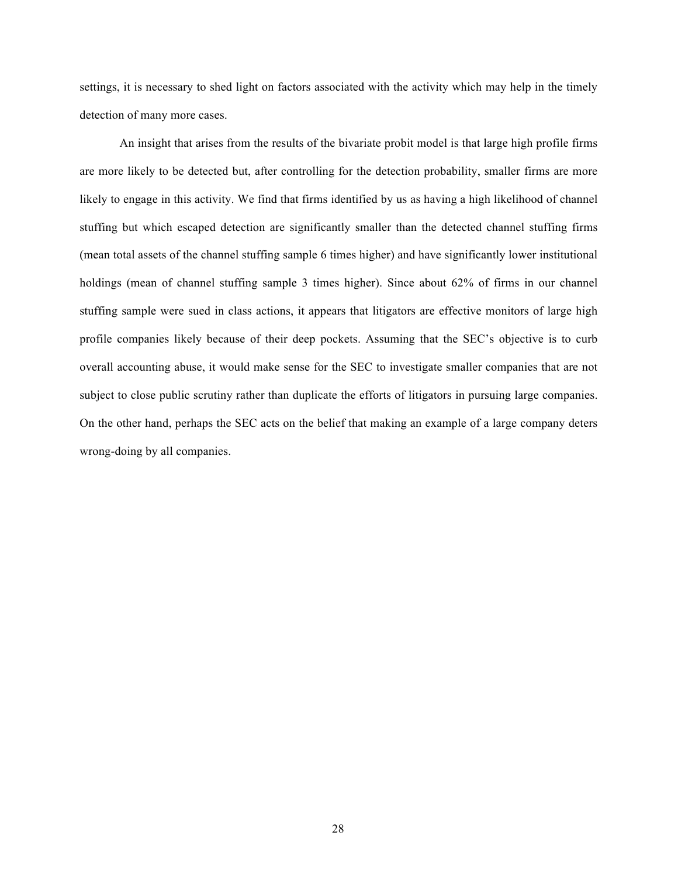settings, it is necessary to shed light on factors associated with the activity which may help in the timely detection of many more cases.

An insight that arises from the results of the bivariate probit model is that large high profile firms are more likely to be detected but, after controlling for the detection probability, smaller firms are more likely to engage in this activity. We find that firms identified by us as having a high likelihood of channel stuffing but which escaped detection are significantly smaller than the detected channel stuffing firms (mean total assets of the channel stuffing sample 6 times higher) and have significantly lower institutional holdings (mean of channel stuffing sample 3 times higher). Since about 62% of firms in our channel stuffing sample were sued in class actions, it appears that litigators are effective monitors of large high profile companies likely because of their deep pockets. Assuming that the SEC's objective is to curb overall accounting abuse, it would make sense for the SEC to investigate smaller companies that are not subject to close public scrutiny rather than duplicate the efforts of litigators in pursuing large companies. On the other hand, perhaps the SEC acts on the belief that making an example of a large company deters wrong-doing by all companies.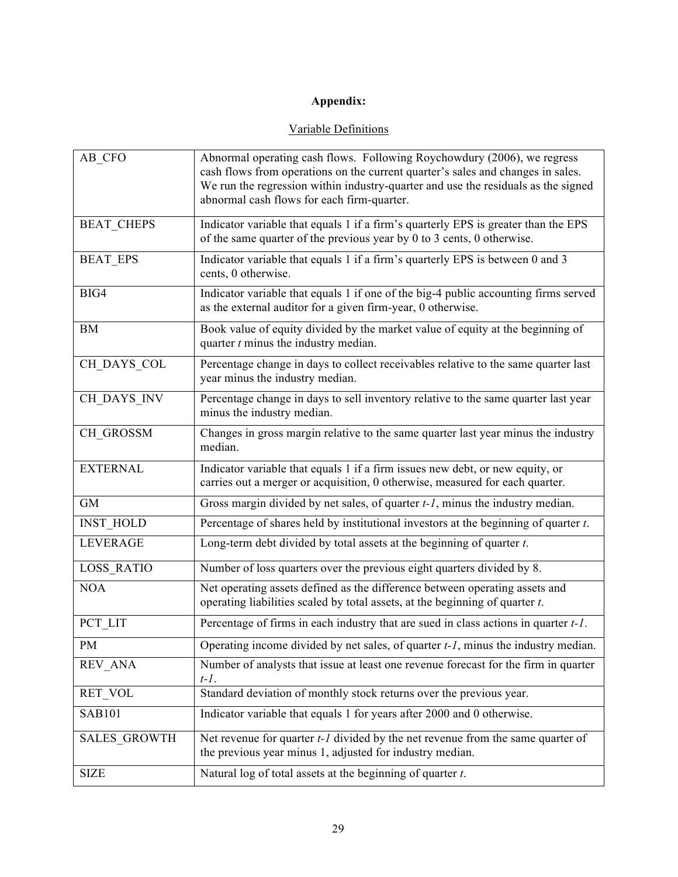# **Appendix:**

## Variable Definitions

| AB CFO              | Abnormal operating cash flows. Following Roychowdury (2006), we regress<br>cash flows from operations on the current quarter's sales and changes in sales.<br>We run the regression within industry-quarter and use the residuals as the signed<br>abnormal cash flows for each firm-quarter. |
|---------------------|-----------------------------------------------------------------------------------------------------------------------------------------------------------------------------------------------------------------------------------------------------------------------------------------------|
| <b>BEAT CHEPS</b>   | Indicator variable that equals 1 if a firm's quarterly EPS is greater than the EPS<br>of the same quarter of the previous year by 0 to 3 cents, 0 otherwise.                                                                                                                                  |
| <b>BEAT EPS</b>     | Indicator variable that equals 1 if a firm's quarterly EPS is between 0 and 3<br>cents, 0 otherwise.                                                                                                                                                                                          |
| BIG4                | Indicator variable that equals 1 if one of the big-4 public accounting firms served<br>as the external auditor for a given firm-year, 0 otherwise.                                                                                                                                            |
| <b>BM</b>           | Book value of equity divided by the market value of equity at the beginning of<br>quarter $t$ minus the industry median.                                                                                                                                                                      |
| CH DAYS COL         | Percentage change in days to collect receivables relative to the same quarter last<br>year minus the industry median.                                                                                                                                                                         |
| CH DAYS INV         | Percentage change in days to sell inventory relative to the same quarter last year<br>minus the industry median.                                                                                                                                                                              |
| CH_GROSSM           | Changes in gross margin relative to the same quarter last year minus the industry<br>median.                                                                                                                                                                                                  |
| <b>EXTERNAL</b>     | Indicator variable that equals 1 if a firm issues new debt, or new equity, or<br>carries out a merger or acquisition, 0 otherwise, measured for each quarter.                                                                                                                                 |
| <b>GM</b>           | Gross margin divided by net sales, of quarter $t-1$ , minus the industry median.                                                                                                                                                                                                              |
| <b>INST HOLD</b>    | Percentage of shares held by institutional investors at the beginning of quarter $t$ .                                                                                                                                                                                                        |
| <b>LEVERAGE</b>     | Long-term debt divided by total assets at the beginning of quarter $t$ .                                                                                                                                                                                                                      |
| <b>LOSS RATIO</b>   | Number of loss quarters over the previous eight quarters divided by 8.                                                                                                                                                                                                                        |
| <b>NOA</b>          | Net operating assets defined as the difference between operating assets and<br>operating liabilities scaled by total assets, at the beginning of quarter $t$ .                                                                                                                                |
| PCT LIT             | Percentage of firms in each industry that are sued in class actions in quarter t-1.                                                                                                                                                                                                           |
| PM                  | Operating income divided by net sales, of quarter $t-1$ , minus the industry median.                                                                                                                                                                                                          |
| <b>REV ANA</b>      | Number of analysts that issue at least one revenue forecast for the firm in quarter<br>$t-1$ .                                                                                                                                                                                                |
| RET VOL             | Standard deviation of monthly stock returns over the previous year.                                                                                                                                                                                                                           |
| <b>SAB101</b>       | Indicator variable that equals 1 for years after 2000 and 0 otherwise.                                                                                                                                                                                                                        |
| <b>SALES GROWTH</b> | Net revenue for quarter $t-1$ divided by the net revenue from the same quarter of<br>the previous year minus 1, adjusted for industry median.                                                                                                                                                 |
| <b>SIZE</b>         | Natural log of total assets at the beginning of quarter $t$ .                                                                                                                                                                                                                                 |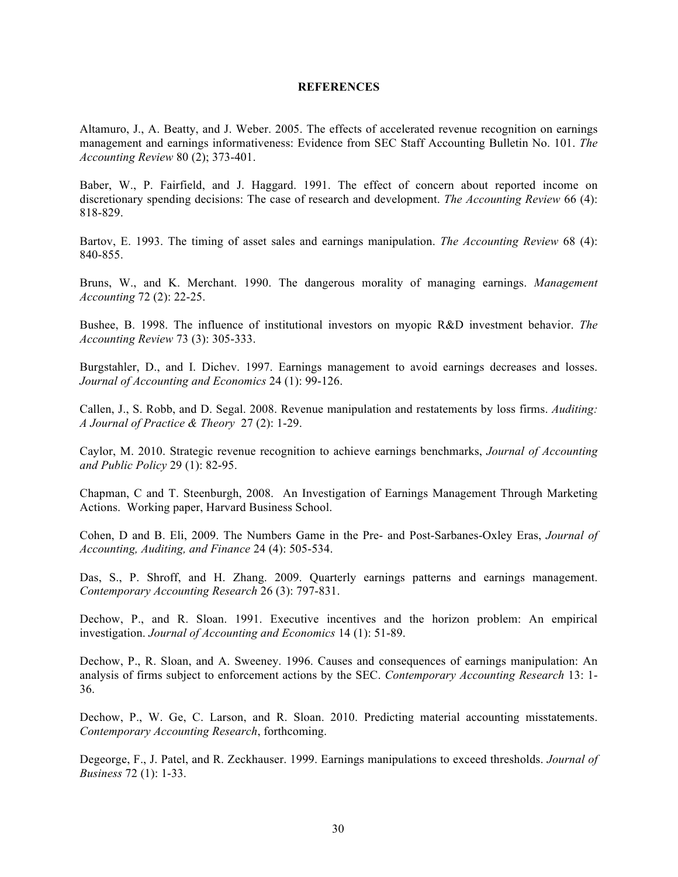### **REFERENCES**

Altamuro, J., A. Beatty, and J. Weber. 2005. The effects of accelerated revenue recognition on earnings management and earnings informativeness: Evidence from SEC Staff Accounting Bulletin No. 101. *The Accounting Review* 80 (2); 373-401.

Baber, W., P. Fairfield, and J. Haggard. 1991. The effect of concern about reported income on discretionary spending decisions: The case of research and development. *The Accounting Review* 66 (4): 818-829.

Bartov, E. 1993. The timing of asset sales and earnings manipulation. *The Accounting Review* 68 (4): 840-855.

Bruns, W., and K. Merchant. 1990. The dangerous morality of managing earnings. *Management Accounting* 72 (2): 22-25.

Bushee, B. 1998. The influence of institutional investors on myopic R&D investment behavior. *The Accounting Review* 73 (3): 305-333.

Burgstahler, D., and I. Dichev. 1997. Earnings management to avoid earnings decreases and losses. *Journal of Accounting and Economics* 24 (1): 99-126.

Callen, J., S. Robb, and D. Segal. 2008. Revenue manipulation and restatements by loss firms. *Auditing: A Journal of Practice & Theory* 27 (2): 1-29.

Caylor, M. 2010. Strategic revenue recognition to achieve earnings benchmarks, *Journal of Accounting and Public Policy* 29 (1): 82-95.

Chapman, C and T. Steenburgh, 2008. An Investigation of Earnings Management Through Marketing Actions. Working paper, Harvard Business School.

Cohen, D and B. Eli, 2009. The Numbers Game in the Pre- and Post-Sarbanes-Oxley Eras, *Journal of Accounting, Auditing, and Finance* 24 (4): 505-534.

Das, S., P. Shroff, and H. Zhang. 2009. Quarterly earnings patterns and earnings management. *Contemporary Accounting Research* 26 (3): 797-831.

Dechow, P., and R. Sloan. 1991. Executive incentives and the horizon problem: An empirical investigation. *Journal of Accounting and Economics* 14 (1): 51-89.

Dechow, P., R. Sloan, and A. Sweeney. 1996. Causes and consequences of earnings manipulation: An analysis of firms subject to enforcement actions by the SEC. *Contemporary Accounting Research* 13: 1- 36.

Dechow, P., W. Ge, C. Larson, and R. Sloan. 2010. Predicting material accounting misstatements. *Contemporary Accounting Research*, forthcoming.

Degeorge, F., J. Patel, and R. Zeckhauser. 1999. Earnings manipulations to exceed thresholds. *Journal of Business* 72 (1): 1-33.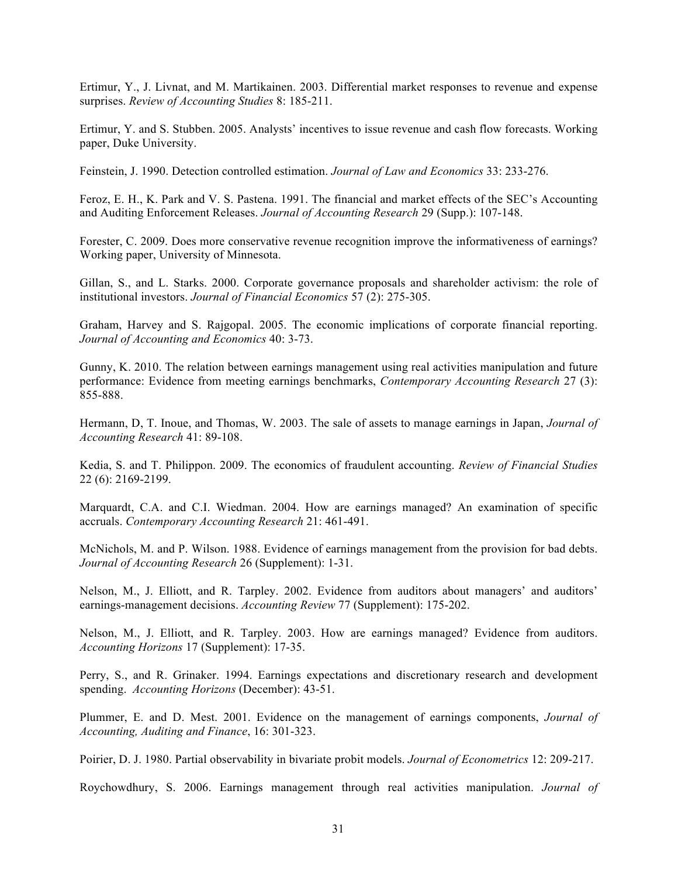Ertimur, Y., J. Livnat, and M. Martikainen. 2003. Differential market responses to revenue and expense surprises. *Review of Accounting Studies* 8: 185-211.

Ertimur, Y. and S. Stubben. 2005. Analysts' incentives to issue revenue and cash flow forecasts. Working paper, Duke University.

Feinstein, J. 1990. Detection controlled estimation. *Journal of Law and Economics* 33: 233-276.

Feroz, E. H., K. Park and V. S. Pastena. 1991. The financial and market effects of the SEC's Accounting and Auditing Enforcement Releases. *Journal of Accounting Research* 29 (Supp.): 107-148.

Forester, C. 2009. Does more conservative revenue recognition improve the informativeness of earnings? Working paper, University of Minnesota.

Gillan, S., and L. Starks. 2000. Corporate governance proposals and shareholder activism: the role of institutional investors. *Journal of Financial Economics* 57 (2): 275-305.

Graham, Harvey and S. Rajgopal. 2005. The economic implications of corporate financial reporting. *Journal of Accounting and Economics* 40: 3-73.

Gunny, K. 2010. The relation between earnings management using real activities manipulation and future performance: Evidence from meeting earnings benchmarks, *Contemporary Accounting Research* 27 (3): 855-888.

Hermann, D, T. Inoue, and Thomas, W. 2003. The sale of assets to manage earnings in Japan, *Journal of Accounting Research* 41: 89-108.

Kedia, S. and T. Philippon. 2009. The economics of fraudulent accounting. *Review of Financial Studies* 22 (6): 2169-2199.

Marquardt, C.A. and C.I. Wiedman. 2004. How are earnings managed? An examination of specific accruals. *Contemporary Accounting Research* 21: 461-491.

McNichols, M. and P. Wilson. 1988. Evidence of earnings management from the provision for bad debts. *Journal of Accounting Research* 26 (Supplement): 1-31.

Nelson, M., J. Elliott, and R. Tarpley. 2002. Evidence from auditors about managers' and auditors' earnings-management decisions. *Accounting Review* 77 (Supplement): 175-202.

Nelson, M., J. Elliott, and R. Tarpley. 2003. How are earnings managed? Evidence from auditors. *Accounting Horizons* 17 (Supplement): 17-35.

Perry, S., and R. Grinaker. 1994. Earnings expectations and discretionary research and development spending. *Accounting Horizons* (December): 43-51.

Plummer, E. and D. Mest. 2001. Evidence on the management of earnings components, *Journal of Accounting, Auditing and Finance*, 16: 301-323.

Poirier, D. J. 1980. Partial observability in bivariate probit models. *Journal of Econometrics* 12: 209-217.

Roychowdhury, S. 2006. Earnings management through real activities manipulation. *Journal of*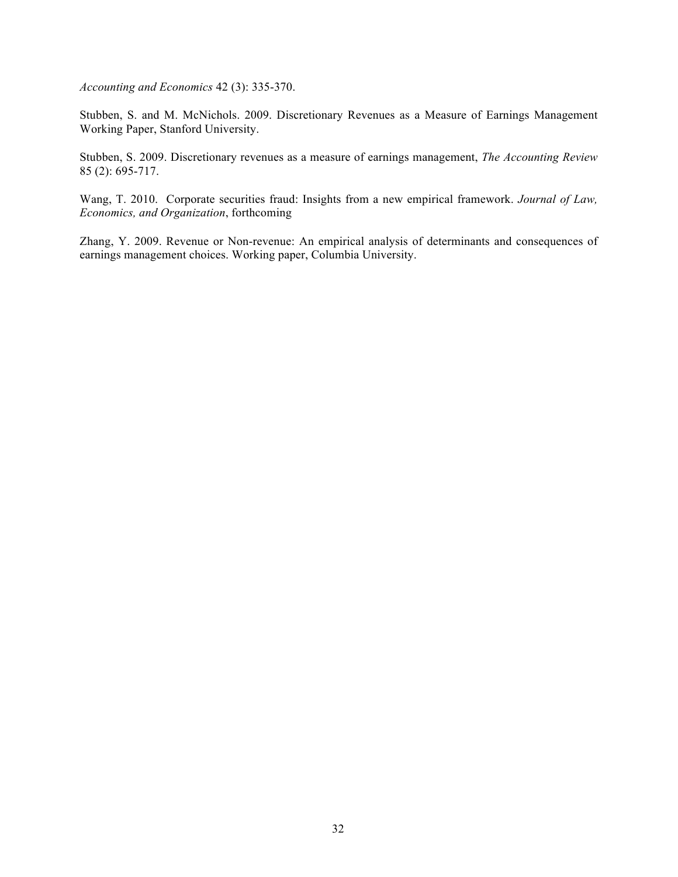*Accounting and Economics* 42 (3): 335-370.

Stubben, S. and M. McNichols. 2009. Discretionary Revenues as a Measure of Earnings Management Working Paper, Stanford University.

Stubben, S. 2009. Discretionary revenues as a measure of earnings management, *The Accounting Review* 85 (2): 695-717.

Wang, T. 2010. Corporate securities fraud: Insights from a new empirical framework. *Journal of Law, Economics, and Organization*, forthcoming

Zhang, Y. 2009. Revenue or Non-revenue: An empirical analysis of determinants and consequences of earnings management choices. Working paper, Columbia University.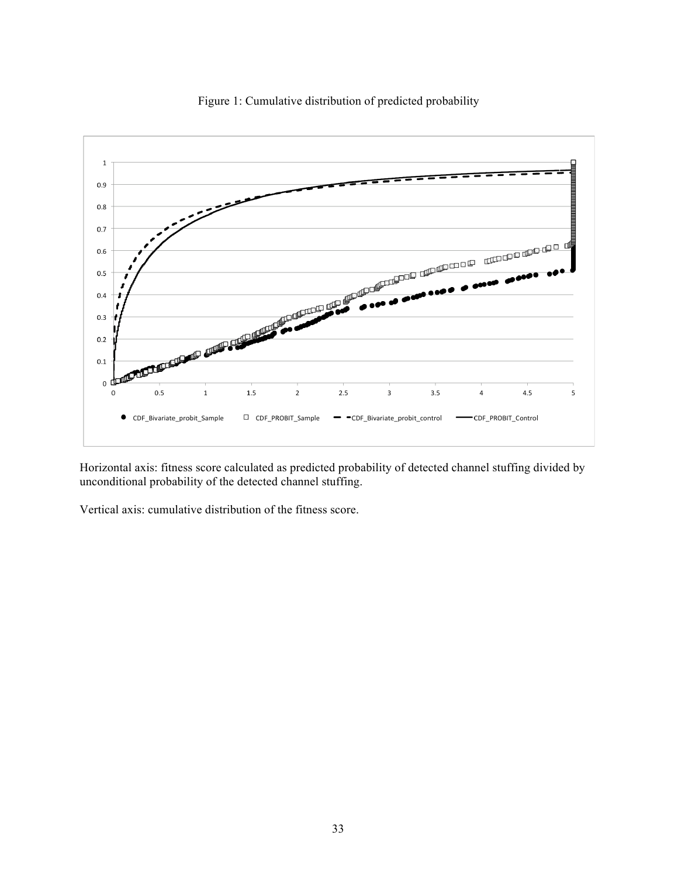

Figure 1: Cumulative distribution of predicted probability

Horizontal axis: fitness score calculated as predicted probability of detected channel stuffing divided by unconditional probability of the detected channel stuffing.

Vertical axis: cumulative distribution of the fitness score.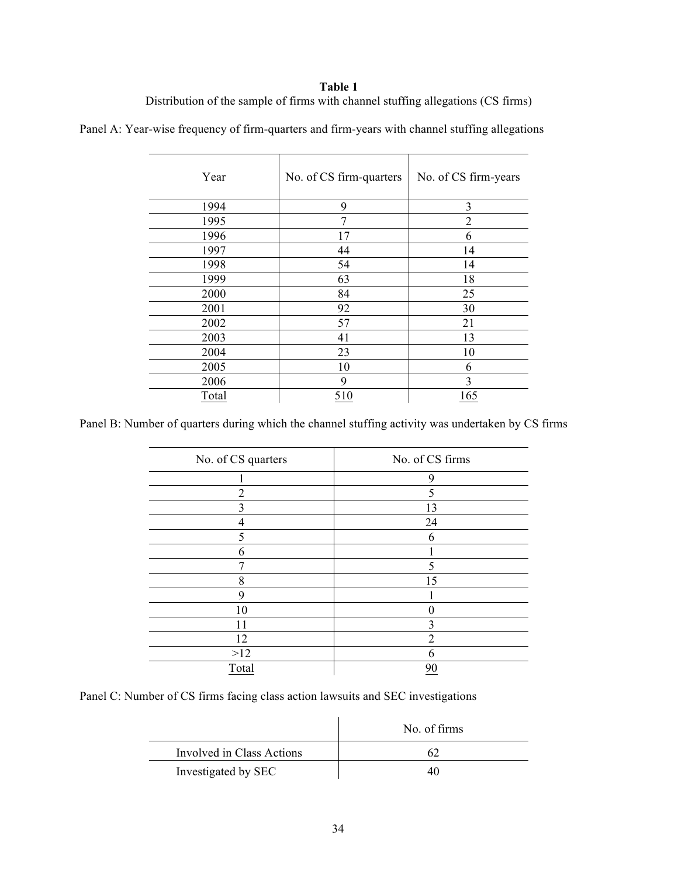## **Table 1**

Distribution of the sample of firms with channel stuffing allegations (CS firms)

|  |  | Panel A: Year-wise frequency of firm-quarters and firm-years with channel stuffing allegations |  |  |  |
|--|--|------------------------------------------------------------------------------------------------|--|--|--|
|  |  |                                                                                                |  |  |  |

| Year  | No. of CS firm-quarters | No. of CS firm-years |
|-------|-------------------------|----------------------|
| 1994  | 9                       | 3                    |
| 1995  | 7                       | $\overline{2}$       |
| 1996  | 17                      | 6                    |
| 1997  | 44                      | 14                   |
| 1998  | 54                      | 14                   |
| 1999  | 63                      | 18                   |
| 2000  | 84                      | 25                   |
| 2001  | 92                      | 30                   |
| 2002  | 57                      | 21                   |
| 2003  | 41                      | 13                   |
| 2004  | 23                      | 10                   |
| 2005  | 10                      | 6                    |
| 2006  | 9                       | 3                    |
| Total | 510                     | 165                  |

Panel B: Number of quarters during which the channel stuffing activity was undertaken by CS firms

| No. of CS quarters | No. of CS firms |
|--------------------|-----------------|
|                    | 9               |
| $\overline{2}$     | 5               |
| 3                  | 13              |
| 4                  | 24              |
| 5                  | 6               |
| 6                  |                 |
|                    |                 |
| 8                  | 15              |
| 9                  |                 |
| 10                 |                 |
| 11                 | 3               |
| 12                 | っ               |
| $>12$              | h               |
| Total              | 90              |

Panel C: Number of CS firms facing class action lawsuits and SEC investigations

|                           | No. of firms |
|---------------------------|--------------|
| Involved in Class Actions |              |
| Investigated by SEC       | 41           |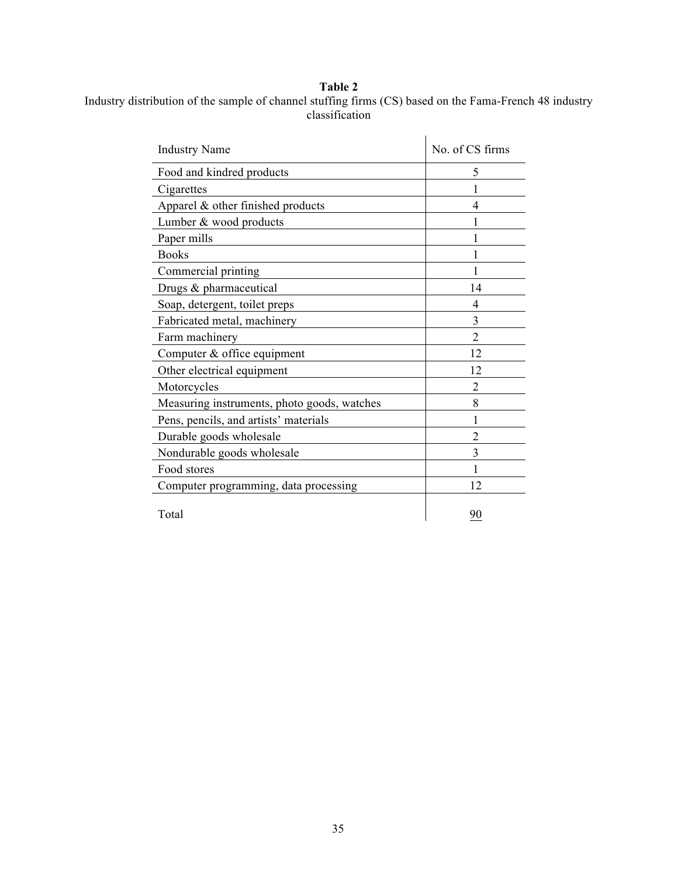## **Table 2**

## Industry distribution of the sample of channel stuffing firms (CS) based on the Fama-French 48 industry classification

| <b>Industry Name</b>                        | No. of CS firms |
|---------------------------------------------|-----------------|
| Food and kindred products                   | 5               |
| Cigarettes                                  |                 |
| Apparel $\&$ other finished products        | 4               |
| Lumber & wood products                      |                 |
| Paper mills                                 |                 |
| <b>Books</b>                                |                 |
| Commercial printing                         | 1               |
| Drugs & pharmaceutical                      | 14              |
| Soap, detergent, toilet preps               | 4               |
| Fabricated metal, machinery                 | 3               |
| Farm machinery                              | $\mathfrak{D}$  |
| Computer & office equipment                 | 12              |
| Other electrical equipment                  | 12              |
| Motorcycles                                 | 2               |
| Measuring instruments, photo goods, watches | 8               |
| Pens, pencils, and artists' materials       |                 |
| Durable goods wholesale                     | 2               |
| Nondurable goods wholesale                  | 3               |
| Food stores                                 | 1               |
| Computer programming, data processing       | 12              |
| Total                                       | 90              |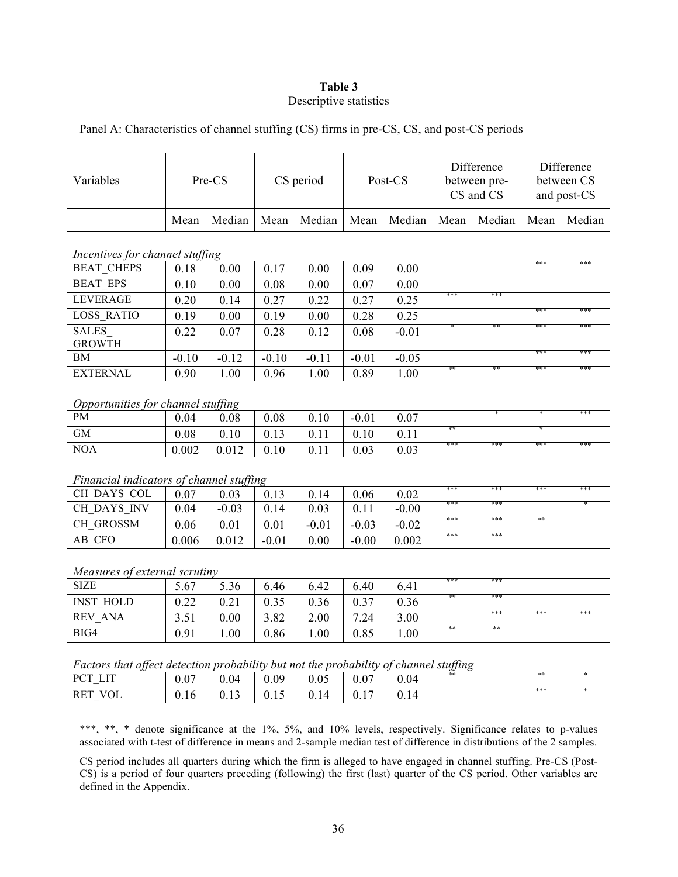## **Table 3** Descriptive statistics

| Panel A: Characteristics of channel stuffing (CS) firms in pre-CS, CS, and post-CS periods |  |
|--------------------------------------------------------------------------------------------|--|
|--------------------------------------------------------------------------------------------|--|

| Mean<br>Incentives for channel stuffing<br><b>BEAT CHEPS</b><br>0.18<br><b>BEAT EPS</b><br>0.10<br><b>LEVERAGE</b><br>0.20<br><b>LOSS RATIO</b><br>0.19<br><b>SALES</b><br>0.22<br><b>GROWTH</b><br><b>BM</b><br>$-0.10$<br><b>EXTERNAL</b><br>0.90 | Median<br>0.00<br>0.00 | Mean    | Median  | Mean    | Median  |      |           |      |        |
|-----------------------------------------------------------------------------------------------------------------------------------------------------------------------------------------------------------------------------------------------------|------------------------|---------|---------|---------|---------|------|-----------|------|--------|
|                                                                                                                                                                                                                                                     |                        |         |         |         |         | Mean | Median    | Mean | Median |
|                                                                                                                                                                                                                                                     |                        |         |         |         |         |      |           |      |        |
|                                                                                                                                                                                                                                                     |                        | 0.17    | 0.00    | 0.09    | 0.00    |      |           | ***  | ***    |
|                                                                                                                                                                                                                                                     |                        | 0.08    | 0.00    | 0.07    | 0.00    |      |           |      |        |
|                                                                                                                                                                                                                                                     | 0.14                   | 0.27    | 0.22    | 0.27    | 0.25    | ***  | ***       |      |        |
|                                                                                                                                                                                                                                                     | 0.00                   | 0.19    | 0.00    | 0.28    | 0.25    |      |           | ***  | ***    |
|                                                                                                                                                                                                                                                     | 0.07                   | 0.28    | 0.12    | 0.08    | $-0.01$ |      | $**$      | ***  | ***    |
|                                                                                                                                                                                                                                                     | $-0.12$                | $-0.10$ | $-0.11$ | $-0.01$ | $-0.05$ |      |           | ***  | ***    |
|                                                                                                                                                                                                                                                     | 1.00                   | 0.96    | 1.00    | 0.89    | 1.00    |      |           | ***  | ***    |
| Opportunities for channel stuffing                                                                                                                                                                                                                  |                        |         |         |         |         |      |           |      |        |
| PM<br>0.04                                                                                                                                                                                                                                          | 0.08                   | 0.08    | 0.10    | $-0.01$ | 0.07    |      |           |      | ***    |
| <b>GM</b><br>0.08                                                                                                                                                                                                                                   | 0.10                   | 0.13    | 0.11    | 0.10    | 0.11    | **   |           |      |        |
| <b>NOA</b><br>0.002                                                                                                                                                                                                                                 | 0.012                  | 0.10    | 0.11    | 0.03    | 0.03    | ***  | ***       | ***  | ***    |
| Financial indicators of channel stuffing                                                                                                                                                                                                            |                        |         |         |         |         |      |           |      |        |
| CH DAYS COL<br>0.07                                                                                                                                                                                                                                 | 0.03                   | 0.13    | 0.14    | 0.06    | 0.02    | ***  | ***       | ***  | ***    |
| CH DAYS INV<br>0.04                                                                                                                                                                                                                                 | $-0.03$                | 0.14    | 0.03    | 0.11    | $-0.00$ | ***  | ***       |      |        |
| CH GROSSM<br>0.06                                                                                                                                                                                                                                   | 0.01                   | 0.01    | $-0.01$ | $-0.03$ | $-0.02$ | ***  | ***       | **   |        |
| AB CFO<br>0.006                                                                                                                                                                                                                                     | 0.012                  | $-0.01$ | 0.00    | $-0.00$ | 0.002   | ***  | ***       |      |        |
| Measures of external scrutiny                                                                                                                                                                                                                       |                        |         |         |         |         |      |           |      |        |
| <b>SIZE</b><br>5.67                                                                                                                                                                                                                                 |                        |         |         |         |         |      |           |      |        |
| <b>INST HOLD</b><br>0.22                                                                                                                                                                                                                            | 5.36                   | 6.46    | 6.42    | 6.40    | 6.41    | ***  | ***       |      |        |
| REV ANA<br>3.51                                                                                                                                                                                                                                     | 0.21                   | 0.35    | 0.36    | 0.37    | 0.36    | **   | ***       |      |        |
| BIG4<br>0.91                                                                                                                                                                                                                                        | 0.00                   | 3.82    | 2.00    | 7.24    | 3.00    | **   | ***<br>** | ***  | ***    |

*Factors that affect detection probability but not the probability of channel stuffing*

| $\cdot$                                       |      |      |                                                   |      |                                     |      | $\cdot$ |     |  |
|-----------------------------------------------|------|------|---------------------------------------------------|------|-------------------------------------|------|---------|-----|--|
| PCT<br><b>LIT</b><br>$\overline{\phantom{a}}$ | 0.07 | 0.04 | 0.09                                              | 0.05 | $\begin{array}{c} 0.07 \end{array}$ | 0.04 | **      | **  |  |
| RET VOL<br>$\overline{\phantom{a}}$           | 0.16 | 0.13 | $\begin{array}{ c c } 0.15 \\ \hline \end{array}$ | 0.14 | $\perp 0.17$                        | 0.14 |         | *** |  |

\*\*\*, \*\*, \* denote significance at the 1%, 5%, and 10% levels, respectively. Significance relates to p-values associated with t-test of difference in means and 2-sample median test of difference in distributions of the 2 samples.

CS period includes all quarters during which the firm is alleged to have engaged in channel stuffing. Pre-CS (Post-CS) is a period of four quarters preceding (following) the first (last) quarter of the CS period. Other variables are defined in the Appendix.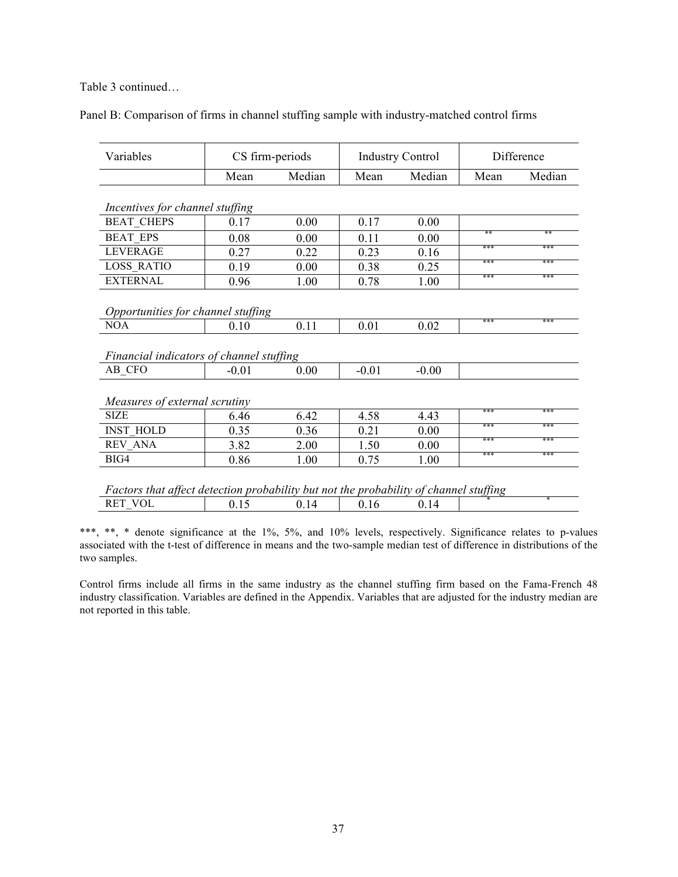Table 3 continued…

|  |  |  |  |  |  | Panel B: Comparison of firms in channel stuffing sample with industry-matched control firms |  |
|--|--|--|--|--|--|---------------------------------------------------------------------------------------------|--|
|  |  |  |  |  |  |                                                                                             |  |

| Median<br>Median<br>Mean<br>Mean<br>Mean<br>Incentives for channel stuffing<br><b>BEAT CHEPS</b><br>0.17<br>0.00<br>0.17<br>0.00<br>**<br><b>BEAT EPS</b><br>0.08<br>0.00<br>0.11<br>0.00<br>***<br><b>LEVERAGE</b><br>0.27<br>0.23<br>0.22<br>0.16<br>***<br><b>LOSS RATIO</b><br>0.19<br>0.00<br>0.38<br>0.25<br>***<br><b>EXTERNAL</b><br>1.00<br>0.78<br>0.96<br>1.00 | Difference |  |  |
|---------------------------------------------------------------------------------------------------------------------------------------------------------------------------------------------------------------------------------------------------------------------------------------------------------------------------------------------------------------------------|------------|--|--|
|                                                                                                                                                                                                                                                                                                                                                                           | Median     |  |  |
|                                                                                                                                                                                                                                                                                                                                                                           |            |  |  |
|                                                                                                                                                                                                                                                                                                                                                                           |            |  |  |
|                                                                                                                                                                                                                                                                                                                                                                           |            |  |  |
|                                                                                                                                                                                                                                                                                                                                                                           | **         |  |  |
|                                                                                                                                                                                                                                                                                                                                                                           | ***        |  |  |
|                                                                                                                                                                                                                                                                                                                                                                           | ***        |  |  |
|                                                                                                                                                                                                                                                                                                                                                                           | ***        |  |  |
| Opportunities for channel stuffing<br>***                                                                                                                                                                                                                                                                                                                                 | ***        |  |  |
| <b>NOA</b><br>0.11<br>0.01<br>0.02<br>0.10                                                                                                                                                                                                                                                                                                                                |            |  |  |
| Financial indicators of channel stuffing                                                                                                                                                                                                                                                                                                                                  |            |  |  |
| AB CFO<br>0.00<br>$-0.01$<br>$-0.01$<br>$-0.00$                                                                                                                                                                                                                                                                                                                           |            |  |  |
| Measures of external scrutiny                                                                                                                                                                                                                                                                                                                                             |            |  |  |
| ***<br><b>SIZE</b><br>4.58<br>6.46<br>6.42<br>4.43                                                                                                                                                                                                                                                                                                                        | ***        |  |  |
| ***<br><b>INST HOLD</b><br>0.35<br>0.21<br>0.36<br>0.00                                                                                                                                                                                                                                                                                                                   | ***        |  |  |
| ***<br><b>REV ANA</b><br>3.82<br>1.50<br>2.00<br>0.00                                                                                                                                                                                                                                                                                                                     | ***        |  |  |
| ***<br>BIG4<br>0.86<br>0.75<br>1.00<br>1.00                                                                                                                                                                                                                                                                                                                               | ***        |  |  |
| Factors that affect detection probability but not the probability of channel stuffing<br>RET VOL<br>0.15<br>0.14<br>0.16<br>0.14                                                                                                                                                                                                                                          |            |  |  |

\*\*\*, \*\*, \* denote significance at the 1%, 5%, and 10% levels, respectively. Significance relates to p-values associated with the t-test of difference in means and the two-sample median test of difference in distributions of the two samples.

Control firms include all firms in the same industry as the channel stuffing firm based on the Fama-French 48 industry classification. Variables are defined in the Appendix. Variables that are adjusted for the industry median are not reported in this table.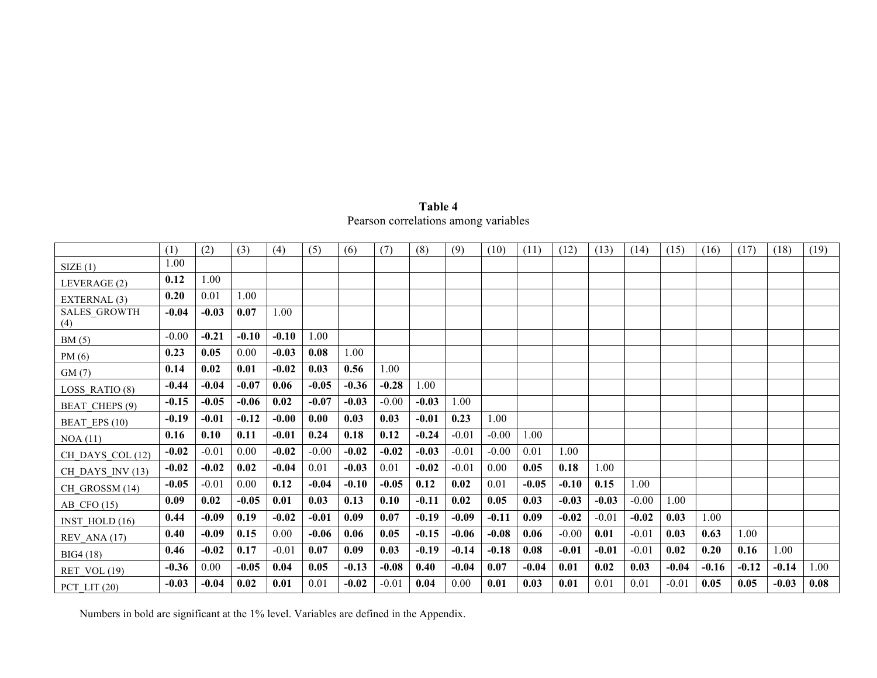| Table 4                              |
|--------------------------------------|
| Pearson correlations among variables |

|                            | (1)     | (2)     | (3)     | (4)     | (5)     | (6)     | (7)     | (8)     | (9)     | (10)    | (11)    | (12)    | (13)    | (14)    | (15)    | (16)    | (17)    | (18)    | (19) |
|----------------------------|---------|---------|---------|---------|---------|---------|---------|---------|---------|---------|---------|---------|---------|---------|---------|---------|---------|---------|------|
| SIZE(1)                    | 1.00    |         |         |         |         |         |         |         |         |         |         |         |         |         |         |         |         |         |      |
| LEVERAGE (2)               | 0.12    | 1.00    |         |         |         |         |         |         |         |         |         |         |         |         |         |         |         |         |      |
| EXTERNAL (3)               | 0.20    | 0.01    | 1.00    |         |         |         |         |         |         |         |         |         |         |         |         |         |         |         |      |
| <b>SALES_GROWTH</b><br>(4) | $-0.04$ | $-0.03$ | 0.07    | 1.00    |         |         |         |         |         |         |         |         |         |         |         |         |         |         |      |
| BM(5)                      | $-0.00$ | $-0.21$ | $-0.10$ | $-0.10$ | 1.00    |         |         |         |         |         |         |         |         |         |         |         |         |         |      |
| PM(6)                      | 0.23    | 0.05    | 0.00    | $-0.03$ | 0.08    | 1.00    |         |         |         |         |         |         |         |         |         |         |         |         |      |
| GM(7)                      | 0.14    | 0.02    | 0.01    | $-0.02$ | 0.03    | 0.56    | 1.00    |         |         |         |         |         |         |         |         |         |         |         |      |
| LOSS RATIO (8)             | $-0.44$ | $-0.04$ | $-0.07$ | 0.06    | $-0.05$ | $-0.36$ | $-0.28$ | 1.00    |         |         |         |         |         |         |         |         |         |         |      |
| <b>BEAT CHEPS (9)</b>      | $-0.15$ | $-0.05$ | $-0.06$ | 0.02    | $-0.07$ | $-0.03$ | $-0.00$ | $-0.03$ | 1.00    |         |         |         |         |         |         |         |         |         |      |
| BEAT EPS (10)              | $-0.19$ | $-0.01$ | $-0.12$ | $-0.00$ | 0.00    | 0.03    | 0.03    | $-0.01$ | 0.23    | 1.00    |         |         |         |         |         |         |         |         |      |
| NOA(11)                    | 0.16    | 0.10    | 0.11    | $-0.01$ | 0.24    | 0.18    | 0.12    | $-0.24$ | $-0.01$ | $-0.00$ | 1.00    |         |         |         |         |         |         |         |      |
| CH DAYS COL (12)           | $-0.02$ | $-0.01$ | 0.00    | $-0.02$ | $-0.00$ | $-0.02$ | $-0.02$ | $-0.03$ | $-0.01$ | $-0.00$ | 0.01    | 1.00    |         |         |         |         |         |         |      |
| CH DAYS INV (13)           | $-0.02$ | $-0.02$ | 0.02    | $-0.04$ | 0.01    | $-0.03$ | 0.01    | $-0.02$ | $-0.01$ | 0.00    | 0.05    | 0.18    | 1.00    |         |         |         |         |         |      |
| CH GROSSM (14)             | $-0.05$ | $-0.01$ | 0.00    | 0.12    | $-0.04$ | $-0.10$ | $-0.05$ | 0.12    | 0.02    | 0.01    | $-0.05$ | $-0.10$ | 0.15    | 1.00    |         |         |         |         |      |
| AB CFO $(15)$              | 0.09    | 0.02    | $-0.05$ | 0.01    | 0.03    | 0.13    | 0.10    | $-0.11$ | 0.02    | 0.05    | 0.03    | $-0.03$ | $-0.03$ | $-0.00$ | 1.00    |         |         |         |      |
| INST HOLD $(16)$           | 0.44    | $-0.09$ | 0.19    | $-0.02$ | $-0.01$ | 0.09    | 0.07    | $-0.19$ | $-0.09$ | $-0.11$ | 0.09    | $-0.02$ | $-0.01$ | $-0.02$ | 0.03    | 1.00    |         |         |      |
| REV ANA (17)               | 0.40    | $-0.09$ | 0.15    | 0.00    | $-0.06$ | 0.06    | 0.05    | $-0.15$ | $-0.06$ | $-0.08$ | 0.06    | $-0.00$ | 0.01    | $-0.01$ | 0.03    | 0.63    | 1.00    |         |      |
| BIG4 (18)                  | 0.46    | $-0.02$ | 0.17    | $-0.01$ | 0.07    | 0.09    | 0.03    | $-0.19$ | $-0.14$ | $-0.18$ | 0.08    | $-0.01$ | $-0.01$ | $-0.01$ | 0.02    | 0.20    | 0.16    | 1.00    |      |
| RET VOL $(19)$             | $-0.36$ | 0.00    | $-0.05$ | 0.04    | 0.05    | $-0.13$ | $-0.08$ | 0.40    | $-0.04$ | 0.07    | $-0.04$ | 0.01    | 0.02    | 0.03    | $-0.04$ | $-0.16$ | $-0.12$ | $-0.14$ | 1.00 |
| PCT LIT $(20)$             | $-0.03$ | $-0.04$ | 0.02    | 0.01    | 0.01    | $-0.02$ | $-0.01$ | 0.04    | 0.00    | 0.01    | 0.03    | 0.01    | 0.01    | 0.01    | $-0.01$ | 0.05    | 0.05    | $-0.03$ | 0.08 |

Numbers in bold are significant at the 1% level. Variables are defined in the Appendix.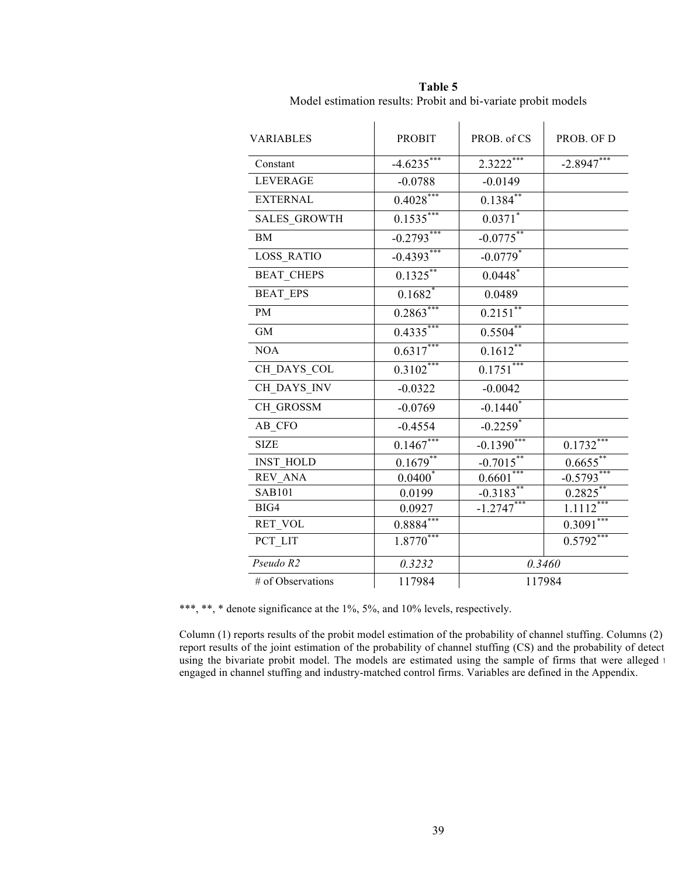| <b>VARIABLES</b>  | <b>PROBIT</b> | PROB. of CS            | PROB. OF D   |  |
|-------------------|---------------|------------------------|--------------|--|
| Constant          | $-4.6235***$  | $2.3222***$            | $-2.8947***$ |  |
| <b>LEVERAGE</b>   | $-0.0788$     | $-0.0149$              |              |  |
| <b>EXTERNAL</b>   | $0.4028***$   | $0.1384^{**}$          |              |  |
| SALES_GROWTH      | $0.1535***$   | $0.0371$ <sup>*</sup>  |              |  |
| <b>BM</b>         | $-0.2793***$  | $-0.0775***$           |              |  |
| LOSS_RATIO        | $-0.4393***$  | $-0.0779$ *            |              |  |
| <b>BEAT_CHEPS</b> | $0.1325***$   | $0.0448$ *             |              |  |
| <b>BEAT EPS</b>   | $0.1682$ *    | 0.0489                 |              |  |
| <b>PM</b>         | $0.2863***$   | $0.2151$ **            |              |  |
| <b>GM</b>         | $0.4335***$   | $0.5504$ **            |              |  |
| <b>NOA</b>        | $0.6317***$   | $0.1612***$            |              |  |
| CH_DAYS_COL       | $0.3102***$   | $0.1751***$            |              |  |
| CH DAYS INV       | $-0.0322$     | $-0.0042$              |              |  |
| CH GROSSM         | $-0.0769$     | $-0.1440*$             |              |  |
| AB CFO            | $-0.4554$     | $-0.2259$ <sup>*</sup> |              |  |
| <b>SIZE</b>       | $0.1467***$   | $-0.1390***$           | $0.1732***$  |  |
| <b>INST_HOLD</b>  | $0.1679**$    | $-0.7015***$           | $0.6655***$  |  |
| REV ANA           | $0.0400^{*}$  | $0.6601***$            | $-0.5793***$ |  |
| <b>SAB101</b>     | 0.0199        | $-0.3183**$            | $0.2825$ **  |  |
| BIG4              | 0.0927        | $-1.2747***$           | $1.1112***$  |  |
| RET_VOL           | $0.8884***$   |                        | $0.3091***$  |  |
| PCT_LIT           | $1.8770***$   |                        | $0.5792***$  |  |
| Pseudo R2         | 0.3232        | 0.3460                 |              |  |
| # of Observations | 117984        | 117984                 |              |  |

**Table 5** Model estimation results: Probit and bi-variate probit models

\*\*\*, \*\*, \* denote significance at the 1%, 5%, and 10% levels, respectively.

Column  $(1)$  reports results of the probit model estimation of the probability of channel stuffing. Columns  $(2)$ report results of the joint estimation of the probability of channel stuffing (CS) and the probability of detect using the bivariate probit model. The models are estimated using the sample of firms that were alleged to engaged in channel stuffing and industry-matched control firms. Variables are defined in the Appendix.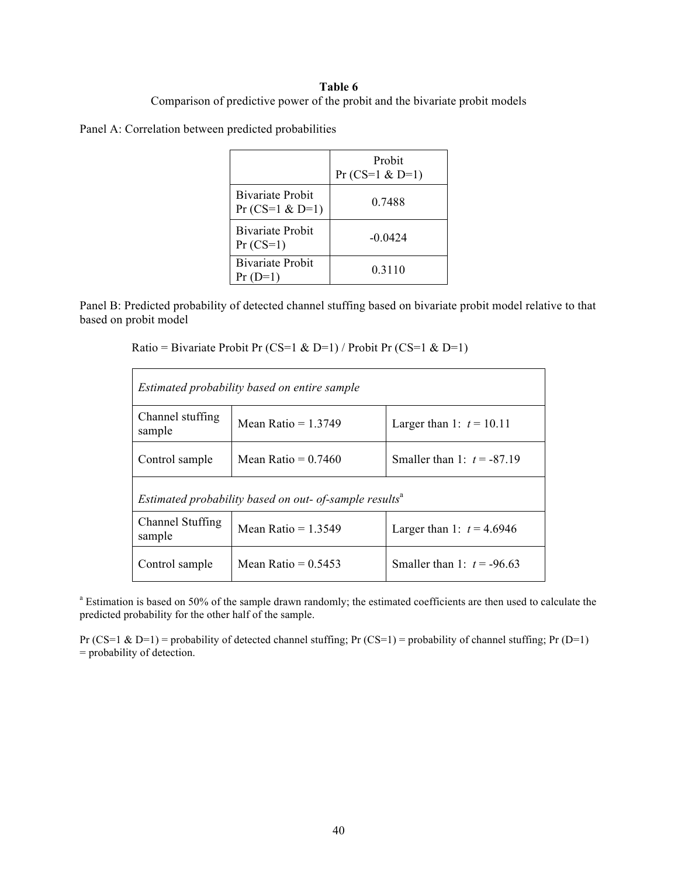## **Table 6**

## Comparison of predictive power of the probit and the bivariate probit models

Panel A: Correlation between predicted probabilities

|                                       | Probit<br>$Pr(CS=1 & D=1)$ |
|---------------------------------------|----------------------------|
| Bivariate Probit<br>$Pr(CS=1 & D=1)$  | 0 7488                     |
| <b>Bivariate Probit</b><br>$Pr(CS=1)$ | $-0.0424$                  |
| <b>Bivariate Probit</b><br>$Pr(D=1)$  | 0 3 1 1 0                  |

Panel B: Predicted probability of detected channel stuffing based on bivariate probit model relative to that based on probit model

| Estimated probability based on entire sample                                              |  |  |  |  |  |  |  |  |
|-------------------------------------------------------------------------------------------|--|--|--|--|--|--|--|--|
| Channel stuffing<br>Mean Ratio = $1.3749$<br>Larger than 1: $t = 10.11$<br>sample         |  |  |  |  |  |  |  |  |
| Mean Ratio = $0.7460$<br>Smaller than 1: $t = -87.19$<br>Control sample                   |  |  |  |  |  |  |  |  |
| Estimated probability based on out- of-sample results <sup>a</sup>                        |  |  |  |  |  |  |  |  |
| <b>Channel Stuffing</b><br>Mean Ratio = $1.3549$<br>Larger than 1: $t = 4.6946$<br>sample |  |  |  |  |  |  |  |  |
| Mean Ratio = $0.5453$<br>Smaller than 1: $t = -96.63$<br>Control sample                   |  |  |  |  |  |  |  |  |

<sup>a</sup> Estimation is based on 50% of the sample drawn randomly; the estimated coefficients are then used to calculate the predicted probability for the other half of the sample.

Pr (CS=1 & D=1) = probability of detected channel stuffing; Pr (CS=1) = probability of channel stuffing; Pr (D=1) = probability of detection.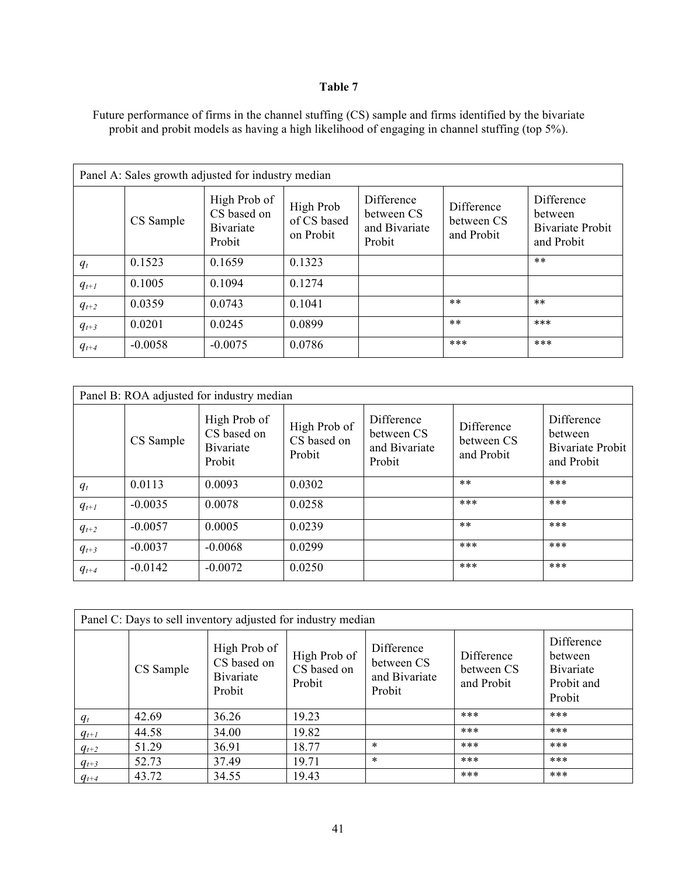## **Table 7**

Future performance of firms in the channel stuffing (CS) sample and firms identified by the bivariate probit and probit models as having a high likelihood of engaging in channel stuffing (top 5%).

| Panel A: Sales growth adjusted for industry median |           |                                                    |                                       |                                                     |                                        |                                                         |  |  |
|----------------------------------------------------|-----------|----------------------------------------------------|---------------------------------------|-----------------------------------------------------|----------------------------------------|---------------------------------------------------------|--|--|
|                                                    | CS Sample | High Prob of<br>CS based on<br>Bivariate<br>Probit | High Prob<br>of CS based<br>on Probit | Difference<br>between CS<br>and Bivariate<br>Probit | Difference<br>between CS<br>and Probit | Difference<br>between<br>Bivariate Probit<br>and Probit |  |  |
| $q_t$                                              | 0.1523    | 0.1659                                             | 0.1323                                |                                                     |                                        | $***$                                                   |  |  |
| $q_{t+1}$                                          | 0.1005    | 0.1094                                             | 0.1274                                |                                                     |                                        |                                                         |  |  |
| $q_{t+2}$                                          | 0.0359    | 0.0743                                             | 0.1041                                |                                                     | $***$                                  | $**$                                                    |  |  |
| $q_{t+3}$                                          | 0.0201    | 0.0245                                             | 0.0899                                |                                                     | $***$                                  | $***$                                                   |  |  |
| $q_{t+4}$                                          | $-0.0058$ | $-0.0075$                                          | 0.0786                                |                                                     | ***                                    | ***                                                     |  |  |

| Panel B: ROA adjusted for industry median |           |                                                    |                                       |                                                     |                                        |                                                                |  |  |  |
|-------------------------------------------|-----------|----------------------------------------------------|---------------------------------------|-----------------------------------------------------|----------------------------------------|----------------------------------------------------------------|--|--|--|
|                                           | CS Sample | High Prob of<br>CS based on<br>Bivariate<br>Probit | High Prob of<br>CS based on<br>Probit | Difference<br>between CS<br>and Bivariate<br>Probit | Difference<br>between CS<br>and Probit | Difference<br>between<br><b>Bivariate Probit</b><br>and Probit |  |  |  |
| $q_t$                                     | 0.0113    | 0.0093                                             | 0.0302                                |                                                     | $***$                                  | ***                                                            |  |  |  |
| $q_{t+1}$                                 | $-0.0035$ | 0.0078                                             | 0.0258                                |                                                     | ***                                    | ***                                                            |  |  |  |
| $q_{t+2}$                                 | $-0.0057$ | 0.0005                                             | 0.0239                                |                                                     | $***$                                  | ***                                                            |  |  |  |
| $q_{t+3}$                                 | $-0.0037$ | $-0.0068$                                          | 0.0299                                |                                                     | $***$                                  | ***                                                            |  |  |  |
| $q_{t+4}$                                 | $-0.0142$ | $-0.0072$                                          | 0.0250                                |                                                     | ***                                    | ***                                                            |  |  |  |

| Panel C: Days to sell inventory adjusted for industry median |           |                                                    |                                       |                                                     |                                        |                                                            |  |  |  |
|--------------------------------------------------------------|-----------|----------------------------------------------------|---------------------------------------|-----------------------------------------------------|----------------------------------------|------------------------------------------------------------|--|--|--|
|                                                              | CS Sample | High Prob of<br>CS based on<br>Bivariate<br>Probit | High Prob of<br>CS based on<br>Probit | Difference<br>between CS<br>and Bivariate<br>Probit | Difference<br>between CS<br>and Probit | Difference<br>between<br>Bivariate<br>Probit and<br>Probit |  |  |  |
| $q_t$                                                        | 42.69     | 36.26                                              | 19.23                                 |                                                     | ***                                    | ***                                                        |  |  |  |
| $q_{t+1}$                                                    | 44.58     | 34.00                                              | 19.82                                 |                                                     | ***                                    | ***                                                        |  |  |  |
| $q_{t+2}$                                                    | 51.29     | 36.91                                              | 18.77                                 | $\ast$                                              | ***                                    | ***                                                        |  |  |  |
| $q_{t+3}$                                                    | 52.73     | 37.49                                              | 19.71                                 | $\ast$                                              | ***                                    | ***                                                        |  |  |  |
| $q_{t+4}$                                                    | 43.72     | 34.55                                              | 19.43                                 |                                                     | ***                                    | ***                                                        |  |  |  |